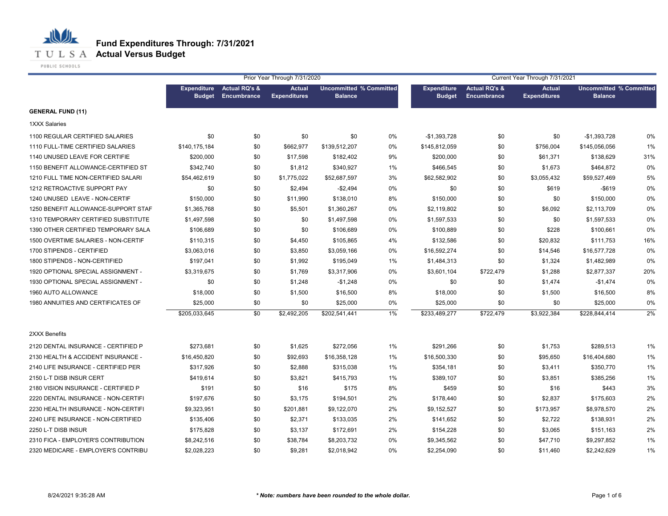

PUBLIC SCHOOLS

|                                     |                                     |                                         | Prior Year Through 7/31/2020         |                                                  |       | Current Year Through 7/31/2021      |                                         |                                      |                                                  |     |
|-------------------------------------|-------------------------------------|-----------------------------------------|--------------------------------------|--------------------------------------------------|-------|-------------------------------------|-----------------------------------------|--------------------------------------|--------------------------------------------------|-----|
|                                     | <b>Expenditure</b><br><b>Budget</b> | <b>Actual RQ's &amp;</b><br>Encumbrance | <b>Actual</b><br><b>Expenditures</b> | <b>Uncommitted % Committed</b><br><b>Balance</b> |       | <b>Expenditure</b><br><b>Budget</b> | <b>Actual RQ's &amp;</b><br>Encumbrance | <b>Actual</b><br><b>Expenditures</b> | <b>Uncommitted % Committed</b><br><b>Balance</b> |     |
| <b>GENERAL FUND (11)</b>            |                                     |                                         |                                      |                                                  |       |                                     |                                         |                                      |                                                  |     |
| 1XXX Salaries                       |                                     |                                         |                                      |                                                  |       |                                     |                                         |                                      |                                                  |     |
| 1100 REGULAR CERTIFIED SALARIES     | \$0                                 | \$0                                     | \$0                                  | \$0                                              | 0%    | $-$1,393,728$                       | \$0                                     | \$0                                  | -\$1,393,728                                     | 0%  |
| 1110 FULL-TIME CERTIFIED SALARIES   | \$140,175,184                       | \$0                                     | \$662,977                            | \$139,512,207                                    | 0%    | \$145,812,059                       | \$0                                     | \$756,004                            | \$145,056,056                                    | 1%  |
| 1140 UNUSED LEAVE FOR CERTIFIE      | \$200,000                           | \$0                                     | \$17,598                             | \$182,402                                        | 9%    | \$200,000                           | \$0                                     | \$61,371                             | \$138,629                                        | 31% |
| 1150 BENEFIT ALLOWANCE-CERTIFIED ST | \$342,740                           | \$0                                     | \$1,812                              | \$340,927                                        | 1%    | \$466,545                           | \$0                                     | \$1,673                              | \$464,872                                        | 0%  |
| 1210 FULL TIME NON-CERTIFIED SALARI | \$54,462,619                        | \$0                                     | \$1,775,022                          | \$52,687,597                                     | 3%    | \$62,582,902                        | \$0                                     | \$3,055,432                          | \$59,527,469                                     | 5%  |
| 1212 RETROACTIVE SUPPORT PAY        | \$0                                 | \$0                                     | \$2,494                              | $-$2,494$                                        | 0%    | \$0                                 | \$0                                     | \$619                                | $-$ \$619                                        | 0%  |
| 1240 UNUSED LEAVE - NON-CERTIF      | \$150,000                           | \$0                                     | \$11,990                             | \$138,010                                        | 8%    | \$150,000                           | \$0                                     | \$0                                  | \$150,000                                        | 0%  |
| 1250 BENEFIT ALLOWANCE-SUPPORT STAF | \$1,365,768                         | \$0                                     | \$5,501                              | \$1,360,267                                      | 0%    | \$2,119,802                         | \$0                                     | \$6,092                              | \$2,113,709                                      | 0%  |
| 1310 TEMPORARY CERTIFIED SUBSTITUTE | \$1,497,598                         | \$0                                     | \$0                                  | \$1,497,598                                      | 0%    | \$1,597,533                         | \$0                                     | \$0                                  | \$1,597,533                                      | 0%  |
| 1390 OTHER CERTIFIED TEMPORARY SALA | \$106,689                           | \$0                                     | \$0                                  | \$106,689                                        | 0%    | \$100,889                           | \$0                                     | \$228                                | \$100,661                                        | 0%  |
| 1500 OVERTIME SALARIES - NON-CERTIF | \$110,315                           | \$0                                     | \$4,450                              | \$105,865                                        | 4%    | \$132,586                           | \$0                                     | \$20,832                             | \$111,753                                        | 16% |
| 1700 STIPENDS - CERTIFIED           | \$3,063,016                         | \$0                                     | \$3,850                              | \$3,059,166                                      | 0%    | \$16,592,274                        | \$0                                     | \$14,546                             | \$16,577,728                                     | 0%  |
| 1800 STIPENDS - NON-CERTIFIED       | \$197,041                           | \$0                                     | \$1,992                              | \$195,049                                        | 1%    | \$1,484,313                         | \$0                                     | \$1,324                              | \$1,482,989                                      | 0%  |
| 1920 OPTIONAL SPECIAL ASSIGNMENT -  | \$3,319,675                         | \$0                                     | \$1,769                              | \$3,317,906                                      | 0%    | \$3,601,104                         | \$722,479                               | \$1,288                              | \$2,877,337                                      | 20% |
| 1930 OPTIONAL SPECIAL ASSIGNMENT -  | \$0                                 | \$0                                     | \$1,248                              | $-$1,248$                                        | $0\%$ | \$0                                 | \$0                                     | \$1,474                              | $-$1,474$                                        | 0%  |
| 1960 AUTO ALLOWANCE                 | \$18,000                            | \$0                                     | \$1,500                              | \$16,500                                         | 8%    | \$18,000                            | \$0                                     | \$1,500                              | \$16,500                                         | 8%  |
| 1980 ANNUITIES AND CERTIFICATES OF  | \$25,000                            | \$0                                     | \$0                                  | \$25,000                                         | 0%    | \$25,000                            | \$0                                     | \$0                                  | \$25,000                                         | 0%  |
|                                     | \$205,033,645                       | \$0                                     | \$2,492,205                          | \$202,541,441                                    | $1\%$ | \$233,489,277                       | \$722,479                               | \$3,922,384                          | \$228,844,414                                    | 2%  |
| 2XXX Benefits                       |                                     |                                         |                                      |                                                  |       |                                     |                                         |                                      |                                                  |     |
| 2120 DENTAL INSURANCE - CERTIFIED P | \$273,681                           | \$0                                     | \$1,625                              | \$272,056                                        | 1%    | \$291,266                           | \$0                                     | \$1,753                              | \$289,513                                        | 1%  |
| 2130 HEALTH & ACCIDENT INSURANCE -  | \$16,450,820                        | \$0                                     | \$92,693                             | \$16,358,128                                     | 1%    | \$16,500,330                        | \$0                                     | \$95,650                             | \$16,404,680                                     | 1%  |
| 2140 LIFE INSURANCE - CERTIFIED PER | \$317,926                           | \$0                                     | \$2,888                              | \$315,038                                        | 1%    | \$354,181                           | \$0                                     | \$3,411                              | \$350,770                                        | 1%  |
| 2150 L-T DISB INSUR CERT            | \$419,614                           | \$0                                     | \$3,821                              | \$415,793                                        | 1%    | \$389,107                           | \$0                                     | \$3,851                              | \$385,256                                        | 1%  |
| 2180 VISION INSURANCE - CERTIFIED P | \$191                               | \$0                                     | \$16                                 | \$175                                            | 8%    | \$459                               | \$0                                     | \$16                                 | \$443                                            | 3%  |
| 2220 DENTAL INSURANCE - NON-CERTIFI | \$197,676                           | \$0                                     | \$3,175                              | \$194,501                                        | 2%    | \$178,440                           | \$0                                     | \$2,837                              | \$175,603                                        | 2%  |
| 2230 HEALTH INSURANCE - NON-CERTIFI | \$9,323,951                         | \$0                                     | \$201,881                            | \$9,122,070                                      | 2%    | \$9,152,527                         | \$0                                     | \$173,957                            | \$8,978,570                                      | 2%  |
| 2240 LIFE INSURANCE - NON-CERTIFIED | \$135,406                           | \$0                                     | \$2,371                              | \$133,035                                        | 2%    | \$141,652                           | \$0                                     | \$2,722                              | \$138,931                                        | 2%  |
| 2250 L-T DISB INSUR                 | \$175,828                           | \$0                                     | \$3,137                              | \$172,691                                        | 2%    | \$154,228                           | \$0                                     | \$3,065                              | \$151,163                                        | 2%  |
| 2310 FICA - EMPLOYER'S CONTRIBUTION | \$8,242,516                         | \$0                                     | \$38,784                             | \$8,203,732                                      | 0%    | \$9,345,562                         | \$0                                     | \$47,710                             | \$9,297,852                                      | 1%  |
| 2320 MEDICARE - EMPLOYER'S CONTRIBU | \$2,028,223                         | \$0                                     | \$9,281                              | \$2,018,942                                      | 0%    | \$2,254,090                         | \$0                                     | \$11,460                             | \$2,242,629                                      | 1%  |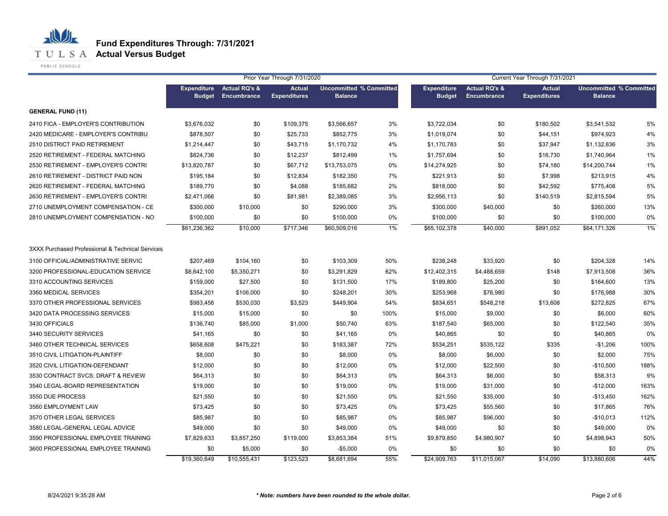**T U L S A Actual Versus Budget** 

PUBLIC SCHOOLS

|                                                  |                                     |                                         | Prior Year Through 7/31/2020         |                                                  |       | Current Year Through 7/31/2021      |                                         |                                      |                                                  |      |
|--------------------------------------------------|-------------------------------------|-----------------------------------------|--------------------------------------|--------------------------------------------------|-------|-------------------------------------|-----------------------------------------|--------------------------------------|--------------------------------------------------|------|
|                                                  | <b>Expenditure</b><br><b>Budget</b> | <b>Actual RQ's &amp;</b><br>Encumbrance | <b>Actual</b><br><b>Expenditures</b> | <b>Uncommitted % Committed</b><br><b>Balance</b> |       | <b>Expenditure</b><br><b>Budget</b> | <b>Actual RQ's &amp;</b><br>Encumbrance | <b>Actual</b><br><b>Expenditures</b> | <b>Uncommitted % Committed</b><br><b>Balance</b> |      |
| <b>GENERAL FUND (11)</b>                         |                                     |                                         |                                      |                                                  |       |                                     |                                         |                                      |                                                  |      |
| 2410 FICA - EMPLOYER'S CONTRIBUTION              | \$3,676,032                         | \$0                                     | \$109,375                            | \$3,566,657                                      | 3%    | \$3,722,034                         | \$0                                     | \$180,502                            | \$3,541,532                                      | 5%   |
| 2420 MEDICARE - EMPLOYER'S CONTRIBU              | \$878,507                           | \$0                                     | \$25,733                             | \$852,775                                        | 3%    | \$1,019,074                         | \$0                                     | \$44,151                             | \$974,923                                        | 4%   |
| 2510 DISTRICT PAID RETIREMENT                    | \$1,214,447                         | \$0                                     | \$43,715                             | \$1,170,732                                      | 4%    | \$1,170,783                         | \$0                                     | \$37,947                             | \$1,132,836                                      | 3%   |
| 2520 RETIREMENT - FEDERAL MATCHING               | \$824,736                           | \$0                                     | \$12,237                             | \$812,499                                        | 1%    | \$1,757,694                         | \$0                                     | \$16,730                             | \$1,740,964                                      | 1%   |
| 2530 RETIREMENT - EMPLOYER'S CONTRI              | \$13,820,787                        | \$0                                     | \$67,712                             | \$13,753,075                                     | 0%    | \$14,274,925                        | \$0                                     | \$74,180                             | \$14,200,744                                     | 1%   |
| 2610 RETIREMENT - DISTRICT PAID NON              | \$195,184                           | \$0                                     | \$12,834                             | \$182,350                                        | 7%    | \$221,913                           | \$0                                     | \$7,998                              | \$213,915                                        | 4%   |
| 2620 RETIREMENT - FEDERAL MATCHING               | \$189,770                           | \$0                                     | \$4,088                              | \$185,682                                        | 2%    | \$818,000                           | \$0                                     | \$42,592                             | \$775,408                                        | 5%   |
| 2630 RETIREMENT - EMPLOYER'S CONTRI              | \$2,471,066                         | \$0                                     | \$81,981                             | \$2,389,085                                      | 3%    | \$2,956,113                         | \$0                                     | \$140,519                            | \$2,815,594                                      | 5%   |
| 2710 UNEMPLOYMENT COMPENSATION - CE              | \$300,000                           | \$10,000                                | \$0                                  | \$290,000                                        | 3%    | \$300,000                           | \$40,000                                | \$0                                  | \$260,000                                        | 13%  |
| 2810 UNEMPLOYMENT COMPENSATION - NO              | \$100,000                           | \$0                                     | \$0                                  | \$100,000                                        | 0%    | \$100,000                           | \$0                                     | \$0                                  | \$100,000                                        | 0%   |
|                                                  | \$61,236,362                        | \$10,000                                | \$717,346                            | \$60,509,016                                     | $1\%$ | \$65,102,378                        | \$40,000                                | \$891,052                            | \$64,171,326                                     | 1%   |
| 3XXX Purchased Professional & Technical Services |                                     |                                         |                                      |                                                  |       |                                     |                                         |                                      |                                                  |      |
| 3100 OFFICIAL/ADMINISTRATIVE SERVIC              | \$207,469                           | \$104,160                               | \$0                                  | \$103,309                                        | 50%   | \$238,248                           | \$33,920                                | \$0                                  | \$204,328                                        | 14%  |
| 3200 PROFESSIONAL-EDUCATION SERVICE              | \$8,642,100                         | \$5,350,271                             | \$0                                  | \$3,291,829                                      | 62%   | \$12,402,315                        | \$4,488,659                             | \$148                                | \$7,913,508                                      | 36%  |
| 3310 ACCOUNTING SERVICES                         | \$159,000                           | \$27,500                                | \$0                                  | \$131,500                                        | 17%   | \$189,800                           | \$25,200                                | \$0                                  | \$164,600                                        | 13%  |
| 3360 MEDICAL SERVICES                            | \$354,201                           | \$106,000                               | \$0                                  | \$248,201                                        | 30%   | \$253,968                           | \$76,980                                | \$0                                  | \$176,988                                        | 30%  |
| 3370 OTHER PROFESSIONAL SERVICES                 | \$983,456                           | \$530,030                               | \$3,523                              | \$449,904                                        | 54%   | \$834,651                           | \$548,218                               | \$13,608                             | \$272,825                                        | 67%  |
| 3420 DATA PROCESSING SERVICES                    | \$15,000                            | \$15,000                                | \$0                                  | \$0                                              | 100%  | \$15,000                            | \$9,000                                 | \$0                                  | \$6,000                                          | 60%  |
| 3430 OFFICIALS                                   | \$136,740                           | \$85,000                                | \$1,000                              | \$50,740                                         | 63%   | \$187,540                           | \$65,000                                | \$0                                  | \$122,540                                        | 35%  |
| 3440 SECURITY SERVICES                           | \$41,165                            | \$0                                     | \$0                                  | \$41,165                                         | 0%    | \$40,865                            | \$0                                     | \$0                                  | \$40,865                                         | 0%   |
| 3460 OTHER TECHNICAL SERVICES                    | \$658,608                           | \$475,221                               | \$0                                  | \$183,387                                        | 72%   | \$534,251                           | \$535,122                               | \$335                                | $-$1,206$                                        | 100% |
| 3510 CIVIL LITIGATION-PLAINTIFF                  | \$8,000                             | \$0                                     | \$0                                  | \$8,000                                          | 0%    | \$8,000                             | \$6,000                                 | \$0                                  | \$2,000                                          | 75%  |
| 3520 CIVIL LITIGATION-DEFENDANT                  | \$12,000                            | \$0                                     | \$0                                  | \$12,000                                         | 0%    | \$12,000                            | \$22,500                                | \$0                                  | $-$10,500$                                       | 188% |
| 3530 CONTRACT SVCS: DRAFT & REVIEW               | \$64,313                            | \$0                                     | \$0                                  | \$64,313                                         | 0%    | \$64,313                            | \$6,000                                 | \$0                                  | \$58,313                                         | 9%   |
| 3540 LEGAL-BOARD REPRESENTATION                  | \$19,000                            | \$0                                     | \$0                                  | \$19,000                                         | 0%    | \$19,000                            | \$31,000                                | \$0                                  | $-$12,000$                                       | 163% |
| 3550 DUE PROCESS                                 | \$21,550                            | \$0                                     | \$0                                  | \$21,550                                         | 0%    | \$21,550                            | \$35,000                                | \$0                                  | $-$13,450$                                       | 162% |
| 3560 EMPLOYMENT LAW                              | \$73,425                            | \$0                                     | \$0                                  | \$73,425                                         | 0%    | \$73,425                            | \$55,560                                | \$0                                  | \$17,865                                         | 76%  |
| 3570 OTHER LEGAL SERVICES                        | \$85,987                            | \$0                                     | \$0                                  | \$85,987                                         | 0%    | \$85,987                            | \$96,000                                | \$0                                  | $-$10,013$                                       | 112% |
| 3580 LEGAL-GENERAL LEGAL ADVICE                  | \$49,000                            | \$0                                     | \$0                                  | \$49,000                                         | 0%    | \$49,000                            | \$0                                     | \$0                                  | \$49,000                                         | 0%   |
| 3590 PROFESSIONAL EMPLOYEE TRAINING              | \$7,829,633                         | \$3,857,250                             | \$119,000                            | \$3,853,384                                      | 51%   | \$9,879,850                         | \$4,980,907                             | \$0                                  | \$4,898,943                                      | 50%  |
| 3600 PROFESSIONAL EMPLOYEE TRAINING              | \$0                                 | \$5,000                                 | \$0                                  | $-$5,000$                                        | 0%    | \$0                                 | \$0                                     | \$0                                  | \$0                                              | 0%   |
|                                                  | \$19,360,649                        | \$10,555,431                            | \$123,523                            | \$8,681,694                                      | 55%   | \$24,909,763                        | \$11,015,067                            | \$14.090                             | \$13,880,606                                     | 44%  |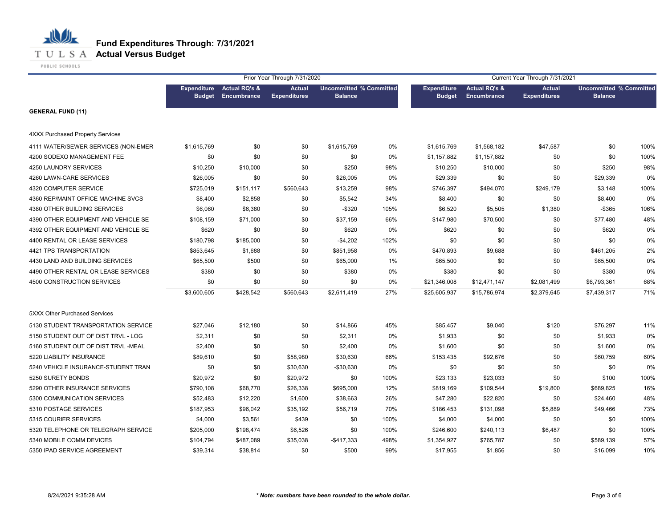

|                                         |                                     |                                         | Prior Year Through 7/31/2020         |                                                  |      | Current Year Through 7/31/2021      |                                         |                                      |                                                  |      |  |
|-----------------------------------------|-------------------------------------|-----------------------------------------|--------------------------------------|--------------------------------------------------|------|-------------------------------------|-----------------------------------------|--------------------------------------|--------------------------------------------------|------|--|
|                                         | <b>Expenditure</b><br><b>Budget</b> | <b>Actual RQ's &amp;</b><br>Encumbrance | <b>Actual</b><br><b>Expenditures</b> | <b>Uncommitted % Committed</b><br><b>Balance</b> |      | <b>Expenditure</b><br><b>Budget</b> | <b>Actual RQ's &amp;</b><br>Encumbrance | <b>Actual</b><br><b>Expenditures</b> | <b>Uncommitted % Committed</b><br><b>Balance</b> |      |  |
| <b>GENERAL FUND (11)</b>                |                                     |                                         |                                      |                                                  |      |                                     |                                         |                                      |                                                  |      |  |
| <b>4XXX Purchased Property Services</b> |                                     |                                         |                                      |                                                  |      |                                     |                                         |                                      |                                                  |      |  |
| 4111 WATER/SEWER SERVICES (NON-EMER     | \$1,615,769                         | \$0                                     | \$0                                  | \$1,615,769                                      | 0%   | \$1,615,769                         | \$1,568,182                             | \$47,587                             | \$0                                              | 100% |  |
| 4200 SODEXO MANAGEMENT FEE              | \$0                                 | \$0                                     | \$0                                  | \$0                                              | 0%   | \$1,157,882                         | \$1,157,882                             | \$0                                  | \$0                                              | 100% |  |
| 4250 LAUNDRY SERVICES                   | \$10,250                            | \$10,000                                | \$0                                  | \$250                                            | 98%  | \$10,250                            | \$10,000                                | \$0                                  | \$250                                            | 98%  |  |
| 4260 LAWN-CARE SERVICES                 | \$26,005                            | \$0                                     | \$0                                  | \$26,005                                         | 0%   | \$29,339                            | \$0                                     | \$0                                  | \$29,339                                         | 0%   |  |
| 4320 COMPUTER SERVICE                   | \$725,019                           | \$151,117                               | \$560,643                            | \$13,259                                         | 98%  | \$746,397                           | \$494,070                               | \$249,179                            | \$3,148                                          | 100% |  |
| 4360 REP/MAINT OFFICE MACHINE SVCS      | \$8,400                             | \$2,858                                 | \$0                                  | \$5,542                                          | 34%  | \$8,400                             | \$0                                     | \$0                                  | \$8,400                                          | 0%   |  |
| 4380 OTHER BUILDING SERVICES            | \$6,060                             | \$6,380                                 | \$0                                  | $-$ \$320                                        | 105% | \$6,520                             | \$5,505                                 | \$1,380                              | $-$ \$365                                        | 106% |  |
| 4390 OTHER EQUIPMENT AND VEHICLE SE     | \$108,159                           | \$71,000                                | \$0                                  | \$37,159                                         | 66%  | \$147,980                           | \$70,500                                | \$0                                  | \$77,480                                         | 48%  |  |
| 4392 OTHER EQUIPMENT AND VEHICLE SE     | \$620                               | \$0                                     | \$0                                  | \$620                                            | 0%   | \$620                               | \$0                                     | \$0                                  | \$620                                            | 0%   |  |
| 4400 RENTAL OR LEASE SERVICES           | \$180,798                           | \$185,000                               | \$0                                  | $-$4,202$                                        | 102% | \$0                                 | \$0                                     | \$0                                  | \$0                                              | 0%   |  |
| 4421 TPS TRANSPORTATION                 | \$853,645                           | \$1,688                                 | \$0                                  | \$851,958                                        | 0%   | \$470,893                           | \$9,688                                 | \$0                                  | \$461,205                                        | 2%   |  |
| 4430 LAND AND BUILDING SERVICES         | \$65,500                            | \$500                                   | \$0                                  | \$65,000                                         | 1%   | \$65,500                            | \$0                                     | \$0                                  | \$65,500                                         | 0%   |  |
| 4490 OTHER RENTAL OR LEASE SERVICES     | \$380                               | \$0                                     | \$0                                  | \$380                                            | 0%   | \$380                               | \$0                                     | \$0                                  | \$380                                            | 0%   |  |
| 4500 CONSTRUCTION SERVICES              | \$0                                 | \$0                                     | \$0                                  | \$0                                              | 0%   | \$21,346,008                        | \$12,471,147                            | \$2,081,499                          | \$6,793,361                                      | 68%  |  |
|                                         | \$3,600,605                         | \$428,542                               | \$560,643                            | \$2,611,419                                      | 27%  | \$25,605,937                        | \$15,786,974                            | \$2,379,645                          | \$7,439,317                                      | 71%  |  |
| 5XXX Other Purchased Services           |                                     |                                         |                                      |                                                  |      |                                     |                                         |                                      |                                                  |      |  |
| 5130 STUDENT TRANSPORTATION SERVICE     | \$27,046                            | \$12,180                                | \$0                                  | \$14,866                                         | 45%  | \$85,457                            | \$9,040                                 | \$120                                | \$76,297                                         | 11%  |  |
| 5150 STUDENT OUT OF DIST TRVL - LOG     | \$2,311                             | \$0                                     | \$0                                  | \$2,311                                          | 0%   | \$1,933                             | \$0                                     | \$0                                  | \$1,933                                          | 0%   |  |
| 5160 STUDENT OUT OF DIST TRVL -MEAL     | \$2,400                             | \$0                                     | \$0                                  | \$2,400                                          | 0%   | \$1,600                             | \$0                                     | \$0                                  | \$1,600                                          | 0%   |  |
| 5220 LIABILITY INSURANCE                | \$89,610                            | \$0                                     | \$58,980                             | \$30,630                                         | 66%  | \$153,435                           | \$92,676                                | \$0                                  | \$60,759                                         | 60%  |  |
| 5240 VEHICLE INSURANCE-STUDENT TRAN     | \$0                                 | \$0                                     | \$30,630                             | -\$30,630                                        | 0%   | \$0                                 | \$0                                     | \$0                                  | \$0                                              | 0%   |  |
| 5250 SURETY BONDS                       | \$20,972                            | \$0                                     | \$20,972                             | \$0                                              | 100% | \$23,133                            | \$23,033                                | \$0                                  | \$100                                            | 100% |  |
| 5290 OTHER INSURANCE SERVICES           | \$790,108                           | \$68,770                                | \$26,338                             | \$695,000                                        | 12%  | \$819,169                           | \$109,544                               | \$19,800                             | \$689,825                                        | 16%  |  |
| 5300 COMMUNICATION SERVICES             | \$52.483                            | \$12,220                                | \$1,600                              | \$38,663                                         | 26%  | \$47,280                            | \$22,820                                | \$0                                  | \$24,460                                         | 48%  |  |
| 5310 POSTAGE SERVICES                   | \$187,953                           | \$96,042                                | \$35,192                             | \$56,719                                         | 70%  | \$186,453                           | \$131,098                               | \$5,889                              | \$49,466                                         | 73%  |  |
| 5315 COURIER SERVICES                   | \$4,000                             | \$3,561                                 | \$439                                | \$0                                              | 100% | \$4,000                             | \$4,000                                 | \$0                                  | \$0                                              | 100% |  |
| 5320 TELEPHONE OR TELEGRAPH SERVICE     | \$205,000                           | \$198,474                               | \$6,526                              | \$0                                              | 100% | \$246,600                           | \$240,113                               | \$6,487                              | \$0                                              | 100% |  |
| 5340 MOBILE COMM DEVICES                | \$104,794                           | \$487,089                               | \$35,038                             | $-$417,333$                                      | 498% | \$1,354,927                         | \$765,787                               | \$0                                  | \$589,139                                        | 57%  |  |
| 5350 IPAD SERVICE AGREEMENT             | \$39,314                            | \$38,814                                | \$0                                  | \$500                                            | 99%  | \$17,955                            | \$1,856                                 | \$0                                  | \$16,099                                         | 10%  |  |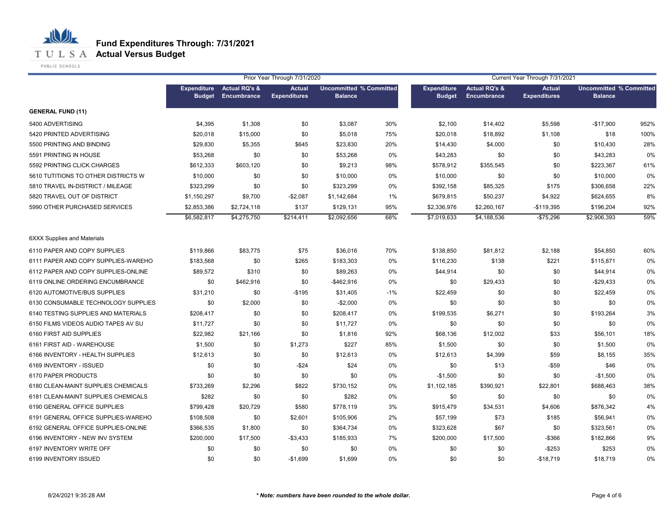**T U L S A Actual Versus Budget** 

PUBLIC SCHOOLS

|                                     |               |                                          | Prior Year Through 7/31/2020         |                                                  |       | Current Year Through 7/31/2021      |                                                |                                      |                                                  |      |
|-------------------------------------|---------------|------------------------------------------|--------------------------------------|--------------------------------------------------|-------|-------------------------------------|------------------------------------------------|--------------------------------------|--------------------------------------------------|------|
|                                     | <b>Budget</b> | Expenditure Actual RQ's &<br>Encumbrance | <b>Actual</b><br><b>Expenditures</b> | <b>Uncommitted % Committed</b><br><b>Balance</b> |       | <b>Expenditure</b><br><b>Budget</b> | <b>Actual RQ's &amp;</b><br><b>Encumbrance</b> | <b>Actual</b><br><b>Expenditures</b> | <b>Uncommitted % Committed</b><br><b>Balance</b> |      |
| <b>GENERAL FUND (11)</b>            |               |                                          |                                      |                                                  |       |                                     |                                                |                                      |                                                  |      |
| 5400 ADVERTISING                    | \$4,395       | \$1,308                                  | \$0                                  | \$3,087                                          | 30%   | \$2,100                             | \$14,402                                       | \$5,598                              | $-$17,900$                                       | 952% |
| 5420 PRINTED ADVERTISING            | \$20,018      | \$15,000                                 | \$0                                  | \$5,018                                          | 75%   | \$20,018                            | \$18,892                                       | \$1,108                              | \$18                                             | 100% |
| 5500 PRINTING AND BINDING           | \$29,830      | \$5,355                                  | \$645                                | \$23,830                                         | 20%   | \$14,430                            | \$4,000                                        | \$0                                  | \$10,430                                         | 28%  |
| 5591 PRINTING IN HOUSE              | \$53,268      | \$0                                      | \$0                                  | \$53,268                                         | 0%    | \$43,283                            | \$0                                            | \$0                                  | \$43,283                                         | 0%   |
| 5592 PRINTING CLICK CHARGES         | \$612,333     | \$603,120                                | \$0                                  | \$9,213                                          | 98%   | \$578,912                           | \$355,545                                      | \$0                                  | \$223,367                                        | 61%  |
| 5610 TUTITIONS TO OTHER DISTRICTS W | \$10,000      | \$0                                      | \$0                                  | \$10,000                                         | 0%    | \$10,000                            | \$0                                            | \$0                                  | \$10,000                                         | 0%   |
| 5810 TRAVEL IN-DISTRICT / MILEAGE   | \$323,299     | \$0                                      | \$0                                  | \$323,299                                        | 0%    | \$392,158                           | \$85,325                                       | \$175                                | \$306,658                                        | 22%  |
| 5820 TRAVEL OUT OF DISTRICT         | \$1,150,297   | \$9,700                                  | $-$2,087$                            | \$1,142,684                                      | 1%    | \$679,815                           | \$50,237                                       | \$4,922                              | \$624,655                                        | 8%   |
| 5990 OTHER PURCHASED SERVICES       | \$2,853,386   | \$2,724,118                              | \$137                                | \$129,131                                        | 95%   | \$2,336,976                         | \$2,260,167                                    | -\$119,395                           | \$196,204                                        | 92%  |
|                                     | \$6,582,817   | \$4,275,750                              | \$214,411                            | \$2,092,656                                      | 68%   | \$7,019,633                         | \$4,188,536                                    | $-$75,296$                           | \$2,906,393                                      | 59%  |
| <b>6XXX Supplies and Materials</b>  |               |                                          |                                      |                                                  |       |                                     |                                                |                                      |                                                  |      |
| 6110 PAPER AND COPY SUPPLIES        | \$119,866     | \$83,775                                 | \$75                                 | \$36,016                                         | 70%   | \$138,850                           | \$81,812                                       | \$2,188                              | \$54,850                                         | 60%  |
| 6111 PAPER AND COPY SUPPLIES-WAREHO | \$183,568     | \$0                                      | \$265                                | \$183,303                                        | 0%    | \$116,230                           | \$138                                          | \$221                                | \$115,871                                        | 0%   |
| 6112 PAPER AND COPY SUPPLIES-ONLINE | \$89,572      | \$310                                    | \$0                                  | \$89,263                                         | 0%    | \$44,914                            | \$0                                            | \$0                                  | \$44,914                                         | 0%   |
| 6119 ONLINE ORDERING ENCUMBRANCE    | \$0           | \$462,916                                | \$0                                  | -\$462,916                                       | 0%    | \$0                                 | \$29,433                                       | \$0                                  | $-$29,433$                                       | 0%   |
| 6120 AUTOMOTIVE/BUS SUPPLIES        | \$31,210      | \$0                                      | $-$195$                              | \$31,405                                         | $-1%$ | \$22,459                            | \$0                                            | \$0                                  | \$22,459                                         | 0%   |
| 6130 CONSUMABLE TECHNOLOGY SUPPLIES | \$0           | \$2,000                                  | \$0                                  | $-$2,000$                                        | 0%    | \$0                                 | \$0                                            | \$0                                  | \$0                                              | 0%   |
| 6140 TESTING SUPPLIES AND MATERIALS | \$208,417     | \$0                                      | \$0                                  | \$208,417                                        | 0%    | \$199,535                           | \$6,271                                        | \$0                                  | \$193,264                                        | 3%   |
| 6150 FILMS VIDEOS AUDIO TAPES AV SU | \$11,727      | \$0                                      | \$0                                  | \$11,727                                         | 0%    | \$0                                 | \$0                                            | \$0                                  | \$0                                              | 0%   |
| 6160 FIRST AID SUPPLIES             | \$22,982      | \$21,166                                 | \$0                                  | \$1,816                                          | 92%   | \$68,136                            | \$12,002                                       | \$33                                 | \$56,101                                         | 18%  |
| 6161 FIRST AID - WAREHOUSE          | \$1,500       | \$0                                      | \$1,273                              | \$227                                            | 85%   | \$1,500                             | \$0                                            | \$0                                  | \$1,500                                          | 0%   |
| 6166 INVENTORY - HEALTH SUPPLIES    | \$12,613      | \$0                                      | \$0                                  | \$12,613                                         | 0%    | \$12,613                            | \$4,399                                        | \$59                                 | \$8,155                                          | 35%  |
| 6169 INVENTORY - ISSUED             | \$0           | \$0                                      | $-$ \$24                             | \$24                                             | 0%    | \$0                                 | \$13                                           | $-$ \$59                             | \$46                                             | 0%   |
| 6170 PAPER PRODUCTS                 | \$0           | \$0                                      | \$0                                  | \$0                                              | 0%    | $-$1,500$                           | \$0                                            | \$0                                  | $-$1,500$                                        | 0%   |
| 6180 CLEAN-MAINT SUPPLIES CHEMICALS | \$733,269     | \$2,296                                  | \$822                                | \$730,152                                        | 0%    | \$1,102,185                         | \$390,921                                      | \$22,801                             | \$688,463                                        | 38%  |
| 6181 CLEAN-MAINT SUPPLIES CHEMICALS | \$282         | \$0                                      | \$0                                  | \$282                                            | 0%    | \$0                                 | \$0                                            | \$0                                  | \$0                                              | 0%   |
| 6190 GENERAL OFFICE SUPPLIES        | \$799,428     | \$20,729                                 | \$580                                | \$778,119                                        | 3%    | \$915,479                           | \$34,531                                       | \$4,606                              | \$876,342                                        | 4%   |
| 6191 GENERAL OFFICE SUPPLIES-WAREHO | \$108,508     | \$0                                      | \$2,601                              | \$105,906                                        | 2%    | \$57,199                            | \$73                                           | \$185                                | \$56,941                                         | 0%   |
| 6192 GENERAL OFFICE SUPPLIES-ONLINE | \$366,535     | \$1,800                                  | \$0                                  | \$364,734                                        | 0%    | \$323,628                           | \$67                                           | \$0                                  | \$323,561                                        | 0%   |
| 6196 INVENTORY - NEW INV SYSTEM     | \$200,000     | \$17,500                                 | $-$3,433$                            | \$185,933                                        | 7%    | \$200,000                           | \$17,500                                       | $-$ \$366                            | \$182,866                                        | 9%   |
| 6197 INVENTORY WRITE OFF            | \$0           | \$0                                      | \$0                                  | \$0                                              | 0%    | \$0                                 | \$0                                            | $-$ \$253                            | \$253                                            | 0%   |
| 6199 INVENTORY ISSUED               | \$0           | \$0                                      | $-$1,699$                            | \$1,699                                          | 0%    | \$0                                 | \$0                                            | $-$18,719$                           | \$18,719                                         | 0%   |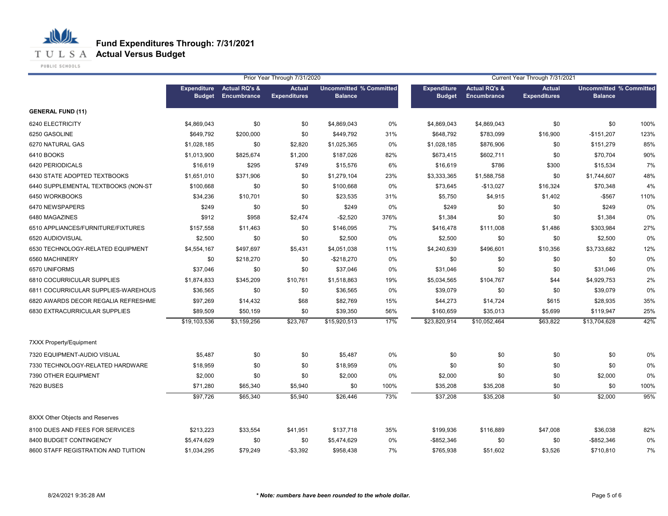

PUBLIC SCHOOLS

| <b>Expenditure</b><br><b>Actual RQ's &amp;</b><br><b>Uncommitted % Committed</b><br><b>Expenditure</b><br><b>Actual RQ's &amp;</b><br><b>Actual</b><br><b>Uncommitted % Committed</b><br><b>Actual</b> |      |
|--------------------------------------------------------------------------------------------------------------------------------------------------------------------------------------------------------|------|
| <b>Budget Encumbrance</b><br><b>Expenditures</b><br><b>Balance</b><br><b>Encumbrance</b><br><b>Balance</b><br><b>Budget</b><br><b>Expenditures</b>                                                     |      |
| <b>GENERAL FUND (11)</b>                                                                                                                                                                               |      |
| 6240 ELECTRICITY<br>\$4,869,043<br>\$0<br>\$0<br>\$4,869,043<br>0%<br>\$4,869,043<br>\$0<br>\$0<br>\$4,869,043                                                                                         | 100% |
| 31%<br>6250 GASOLINE<br>\$649,792<br>\$200,000<br>\$0<br>\$449,792<br>\$648,792<br>\$783,099<br>\$16,900<br>$-$151,207$                                                                                | 123% |
| \$1,028,185<br>\$0<br>\$2,820<br>0%<br>\$1,028,185<br>\$0<br>6270 NATURAL GAS<br>\$1,025,365<br>\$876,906<br>\$151,279                                                                                 | 85%  |
| 82%<br>6410 BOOKS<br>\$1,013,900<br>\$825,674<br>\$1,200<br>\$187,026<br>\$673,415<br>\$602,711<br>\$0<br>\$70,704                                                                                     | 90%  |
| \$295<br>6%<br>\$786<br>\$300<br>6420 PERIODICALS<br>\$16,619<br>\$749<br>\$15,576<br>\$16,619<br>\$15,534                                                                                             | 7%   |
| 23%<br>6430 STATE ADOPTED TEXTBOOKS<br>\$1,651,010<br>\$371,906<br>\$1,279,104<br>\$3,333,365<br>\$1,588,758<br>\$0<br>\$1,744,607<br>\$0                                                              | 48%  |
| 0%<br>6440 SUPPLEMENTAL TEXTBOOKS (NON-ST<br>\$100,668<br>\$0<br>\$0<br>\$100,668<br>\$73,645<br>$-$13,027$<br>\$16,324<br>\$70,348                                                                    | 4%   |
| \$10,701<br>31%<br>\$1,402<br>$-$567$<br>6450 WORKBOOKS<br>\$34,236<br>\$0<br>\$23,535<br>\$5,750<br>\$4,915                                                                                           | 110% |
| 6470 NEWSPAPERS<br>\$249<br>\$0<br>\$0<br>\$249<br>0%<br>\$249<br>\$0<br>\$0<br>\$249                                                                                                                  | 0%   |
| \$912<br>\$958<br>$-$2,520$<br>376%<br>6480 MAGAZINES<br>\$2,474<br>\$1,384<br>\$0<br>\$0<br>\$1,384                                                                                                   | 0%   |
| 6510 APPLIANCES/FURNITURE/FIXTURES<br>\$157,558<br>\$0<br>\$146,095<br>7%<br>\$111,008<br>\$1,486<br>\$303,984<br>\$11,463<br>\$416,478                                                                | 27%  |
| \$2,500<br>0%<br>6520 AUDIOVISUAL<br>\$0<br>\$0<br>\$2,500<br>\$2,500<br>\$0<br>\$0<br>\$2,500                                                                                                         | 0%   |
| 6530 TECHNOLOGY-RELATED EQUIPMENT<br>\$497,697<br>\$4,051,038<br>11%<br>\$4,240,639<br>\$3,733,682<br>\$4,554,167<br>\$5,431<br>\$496,601<br>\$10,356                                                  | 12%  |
| 6560 MACHINERY<br>\$0<br>\$218,270<br>\$0<br>$-$218,270$<br>0%<br>\$0<br>\$0<br>\$0<br>\$0                                                                                                             | 0%   |
| 6570 UNIFORMS<br>\$37,046<br>\$0<br>\$0<br>\$37,046<br>0%<br>\$31,046<br>\$0<br>\$0<br>\$31,046                                                                                                        | 0%   |
| 6810 COCURRICULAR SUPPLIES<br>\$1,874,833<br>\$345,209<br>19%<br>\$5,034,565<br>\$104,767<br>\$44<br>\$4,929,753<br>\$10,761<br>\$1,518,863                                                            | 2%   |
| 6811 COCURRICULAR SUPPLIES-WAREHOUS<br>\$36,565<br>\$0<br>\$0<br>\$36,565<br>0%<br>\$39,079<br>\$0<br>\$0<br>\$39,079                                                                                  | 0%   |
| \$97,269<br>\$68<br>\$82,769<br>15%<br>\$14,724<br>\$615<br>\$28,935<br>6820 AWARDS DECOR REGALIA REFRESHME<br>\$14,432<br>\$44,273                                                                    | 35%  |
| 6830 EXTRACURRICULAR SUPPLIES<br>\$89,509<br>\$50,159<br>\$0<br>\$39,350<br>56%<br>\$160,659<br>\$35,013<br>\$5,699<br>\$119,947                                                                       | 25%  |
| 17%<br>\$19,103,536<br>\$3,159,256<br>\$23,767<br>\$15,920,513<br>\$23,820,914<br>\$10,052,464<br>\$63,822<br>\$13,704,628                                                                             | 42%  |
| <b>7XXX Property/Equipment</b>                                                                                                                                                                         |      |
| 0%<br>\$0<br>\$0<br>7320 EQUIPMENT-AUDIO VISUAL<br>\$5,487<br>\$0<br>\$0<br>\$5,487<br>\$0<br>\$0                                                                                                      | 0%   |
| \$0<br>0%<br>\$0<br>\$0<br>\$0<br>\$0<br>7330 TECHNOLOGY-RELATED HARDWARE<br>\$18,959<br>\$0<br>\$18,959                                                                                               | 0%   |
| 7390 OTHER EQUIPMENT<br>\$2,000<br>\$0<br>\$0<br>\$2,000<br>0%<br>\$2,000<br>\$0<br>\$0<br>\$2,000                                                                                                     | 0%   |
| \$71,280<br>\$65,340<br>100%<br>\$35,208<br>\$35,208<br>\$0<br>\$0<br><b>7620 BUSES</b><br>\$5,940<br>\$0                                                                                              | 100% |
| 73%<br>\$97,726<br>\$65,340<br>\$5,940<br>\$26,446<br>\$37,208<br>\$35,208<br>$\overline{50}$<br>\$2,000                                                                                               | 95%  |
| 8XXX Other Objects and Reserves                                                                                                                                                                        |      |
| 8100 DUES AND FEES FOR SERVICES<br>\$213,223<br>\$33,554<br>\$41,951<br>\$137,718<br>35%<br>\$199,936<br>\$116,889<br>\$47,008<br>\$36,038                                                             | 82%  |
| 0%<br>$-$ \$852,346<br>\$0<br>$-$ \$852,346<br>8400 BUDGET CONTINGENCY<br>\$5,474,629<br>\$0<br>\$0<br>\$5,474,629<br>\$0                                                                              | 0%   |
| 8600 STAFF REGISTRATION AND TUITION<br>\$1,034,295<br>\$79,249<br>$-$3,392$<br>\$958,438<br>7%<br>\$765,938<br>\$51,602<br>\$3,526<br>\$710.810                                                        | 7%   |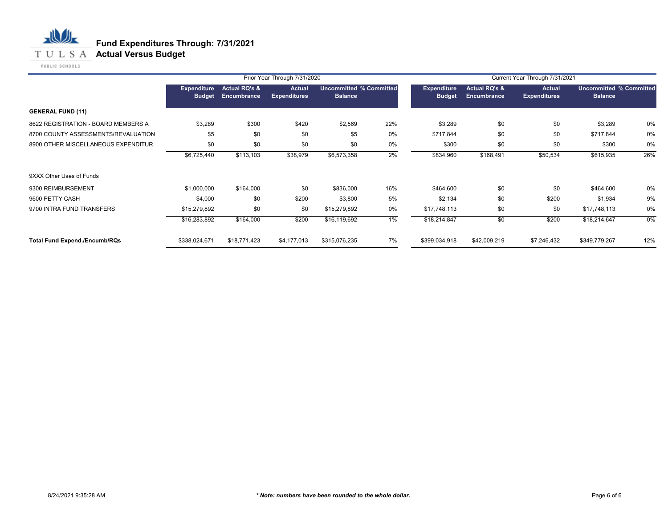## **T U L S A Actual Versus Budget**

PUBLIC SCHOOLS

|                                      |                                     |                                                | Prior Year Through 7/31/2020         |                                           |       | Current Year Through 7/31/2021      |                                         |                                      |                                                  |     |  |
|--------------------------------------|-------------------------------------|------------------------------------------------|--------------------------------------|-------------------------------------------|-------|-------------------------------------|-----------------------------------------|--------------------------------------|--------------------------------------------------|-----|--|
|                                      | <b>Expenditure</b><br><b>Budget</b> | <b>Actual RQ's &amp;</b><br><b>Encumbrance</b> | <b>Actual</b><br><b>Expenditures</b> | Uncommitted % Committed<br><b>Balance</b> |       | <b>Expenditure</b><br><b>Budget</b> | <b>Actual RQ's &amp;</b><br>Encumbrance | <b>Actual</b><br><b>Expenditures</b> | <b>Uncommitted % Committed</b><br><b>Balance</b> |     |  |
| <b>GENERAL FUND (11)</b>             |                                     |                                                |                                      |                                           |       |                                     |                                         |                                      |                                                  |     |  |
| 8622 REGISTRATION - BOARD MEMBERS A  | \$3,289                             | \$300                                          | \$420                                | \$2,569                                   | 22%   | \$3,289                             | \$0                                     | \$0                                  | \$3,289                                          | 0%  |  |
| 8700 COUNTY ASSESSMENTS/REVALUATION  | \$5                                 | \$0                                            | \$0                                  | \$5                                       | $0\%$ | \$717,844                           | \$0                                     | \$0                                  | \$717,844                                        | 0%  |  |
| 8900 OTHER MISCELLANEOUS EXPENDITUR  | \$0                                 | \$0                                            | \$0                                  | \$0                                       | 0%    | \$300                               | \$0                                     | \$0                                  | \$300                                            | 0%  |  |
|                                      | \$6,725,440                         | \$113,103                                      | \$38,979                             | \$6,573,358                               | 2%    | \$834,960                           | \$168,491                               | \$50,534                             | \$615,935                                        | 26% |  |
| 9XXX Other Uses of Funds             |                                     |                                                |                                      |                                           |       |                                     |                                         |                                      |                                                  |     |  |
| 9300 REIMBURSEMENT                   | \$1,000,000                         | \$164,000                                      | \$0                                  | \$836,000                                 | 16%   | \$464,600                           | \$0                                     | \$0                                  | \$464,600                                        | 0%  |  |
| 9600 PETTY CASH                      | \$4,000                             | \$0                                            | \$200                                | \$3,800                                   | 5%    | \$2,134                             | \$0                                     | \$200                                | \$1,934                                          | 9%  |  |
| 9700 INTRA FUND TRANSFERS            | \$15,279,892                        | \$0                                            | \$0                                  | \$15,279,892                              | 0%    | \$17,748,113                        | \$0                                     | \$0                                  | \$17,748,113                                     | 0%  |  |
|                                      | \$16,283,892                        | \$164,000                                      | \$200                                | \$16,119,692                              | 1%    | \$18,214,847                        | \$0                                     | \$200                                | \$18,214,647                                     | 0%  |  |
| <b>Total Fund Expend./Encumb/RQs</b> | \$338,024,671                       | \$18,771,423                                   | \$4,177,013                          | \$315,076,235                             | 7%    | \$399,034,918                       | \$42,009,219                            | \$7,246,432                          | \$349,779,267                                    | 12% |  |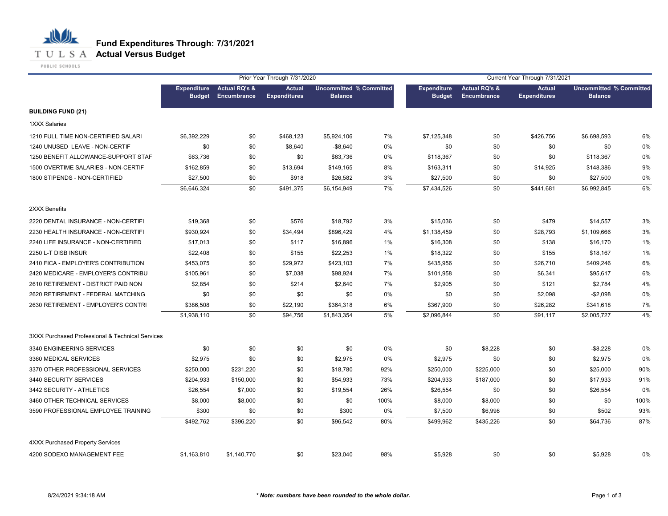

PUBLIC SCHOOLS

|                                                  |                                     |                                         | Prior Year Through 7/31/2020         |                |                                | Current Year Through 7/31/2021      |                                         |                                      |                                                  |      |
|--------------------------------------------------|-------------------------------------|-----------------------------------------|--------------------------------------|----------------|--------------------------------|-------------------------------------|-----------------------------------------|--------------------------------------|--------------------------------------------------|------|
|                                                  | <b>Expenditure</b><br><b>Budget</b> | <b>Actual RQ's &amp;</b><br>Encumbrance | <b>Actual</b><br><b>Expenditures</b> | <b>Balance</b> | <b>Uncommitted % Committed</b> | <b>Expenditure</b><br><b>Budget</b> | <b>Actual RQ's &amp;</b><br>Encumbrance | <b>Actual</b><br><b>Expenditures</b> | <b>Uncommitted % Committed</b><br><b>Balance</b> |      |
| <b>BUILDING FUND (21)</b>                        |                                     |                                         |                                      |                |                                |                                     |                                         |                                      |                                                  |      |
| <b>1XXX Salaries</b>                             |                                     |                                         |                                      |                |                                |                                     |                                         |                                      |                                                  |      |
| 1210 FULL TIME NON-CERTIFIED SALARI              | \$6,392,229                         | \$0                                     | \$468,123                            | \$5,924,106    | 7%                             | \$7,125,348                         | \$0                                     | \$426,756                            | \$6,698,593                                      | 6%   |
| 1240 UNUSED LEAVE - NON-CERTIF                   | \$0                                 | \$0                                     | \$8,640                              | $-$8,640$      | 0%                             | \$0                                 | \$0                                     | \$0                                  | \$0                                              | 0%   |
| 1250 BENEFIT ALLOWANCE-SUPPORT STAF              | \$63,736                            | \$0                                     | \$0                                  | \$63,736       | 0%                             | \$118,367                           | \$0                                     | \$0                                  | \$118,367                                        | 0%   |
| 1500 OVERTIME SALARIES - NON-CERTIF              | \$162,859                           | \$0                                     | \$13,694                             | \$149,165      | 8%                             | \$163,311                           | \$0                                     | \$14,925                             | \$148,386                                        | 9%   |
| 1800 STIPENDS - NON-CERTIFIED                    | \$27,500                            | \$0                                     | \$918                                | \$26,582       | 3%                             | \$27,500                            | \$0                                     | \$0                                  | \$27,500                                         | 0%   |
|                                                  | \$6,646,324                         | \$0                                     | \$491,375                            | \$6,154,949    | 7%                             | \$7,434,526                         | $\overline{50}$                         | \$441,681                            | \$6,992,845                                      | 6%   |
| 2XXX Benefits                                    |                                     |                                         |                                      |                |                                |                                     |                                         |                                      |                                                  |      |
| 2220 DENTAL INSURANCE - NON-CERTIFI              | \$19,368                            | \$0                                     | \$576                                | \$18,792       | 3%                             | \$15,036                            | \$0                                     | \$479                                | \$14,557                                         | 3%   |
| 2230 HEALTH INSURANCE - NON-CERTIFI              | \$930,924                           | \$0                                     | \$34,494                             | \$896,429      | 4%                             | \$1,138,459                         | \$0                                     | \$28,793                             | \$1,109,666                                      | 3%   |
| 2240 LIFE INSURANCE - NON-CERTIFIED              | \$17,013                            | \$0                                     | \$117                                | \$16,896       | 1%                             | \$16,308                            | \$0                                     | \$138                                | \$16,170                                         | 1%   |
| 2250 L-T DISB INSUR                              | \$22,408                            | \$0                                     | \$155                                | \$22,253       | 1%                             | \$18,322                            | \$0                                     | \$155                                | \$18,167                                         | 1%   |
| 2410 FICA - EMPLOYER'S CONTRIBUTION              | \$453,075                           | \$0                                     | \$29,972                             | \$423,103      | 7%                             | \$435,956                           | \$0                                     | \$26,710                             | \$409,246                                        | 6%   |
| 2420 MEDICARE - EMPLOYER'S CONTRIBU              | \$105,961                           | \$0                                     | \$7,038                              | \$98,924       | 7%                             | \$101,958                           | \$0                                     | \$6,341                              | \$95,617                                         | 6%   |
| 2610 RETIREMENT - DISTRICT PAID NON              | \$2,854                             | \$0                                     | \$214                                | \$2,640        | 7%                             | \$2,905                             | \$0                                     | \$121                                | \$2,784                                          | 4%   |
| 2620 RETIREMENT - FEDERAL MATCHING               | \$0                                 | \$0                                     | \$0                                  | \$0            | 0%                             | \$0                                 | \$0                                     | \$2,098                              | $-$2,098$                                        | 0%   |
| 2630 RETIREMENT - EMPLOYER'S CONTRI              | \$386,508                           | \$0                                     | \$22,190                             | \$364,318      | 6%                             | \$367,900                           | \$0                                     | \$26,282                             | \$341,618                                        | 7%   |
|                                                  | \$1,938,110                         | $\overline{50}$                         | \$94,756                             | \$1,843,354    | 5%                             | \$2,096,844                         | $\sqrt{6}$                              | \$91,117                             | \$2,005,727                                      | 4%   |
| 3XXX Purchased Professional & Technical Services |                                     |                                         |                                      |                |                                |                                     |                                         |                                      |                                                  |      |
| 3340 ENGINEERING SERVICES                        | \$0                                 | \$0                                     | \$0                                  | \$0            | 0%                             | \$0                                 | \$8,228                                 | \$0                                  | $-$ \$8,228                                      | 0%   |
| 3360 MEDICAL SERVICES                            | \$2,975                             | \$0                                     | \$0                                  | \$2,975        | 0%                             | \$2,975                             | \$0                                     | \$0                                  | \$2,975                                          | 0%   |
| 3370 OTHER PROFESSIONAL SERVICES                 | \$250,000                           | \$231,220                               | \$0                                  | \$18,780       | 92%                            | \$250,000                           | \$225,000                               | \$0                                  | \$25,000                                         | 90%  |
| 3440 SECURITY SERVICES                           | \$204,933                           | \$150,000                               | \$0                                  | \$54,933       | 73%                            | \$204,933                           | \$187,000                               | \$0                                  | \$17,933                                         | 91%  |
| 3442 SECURITY - ATHLETICS                        | \$26,554                            | \$7,000                                 | \$0                                  | \$19,554       | 26%                            | \$26,554                            | \$0                                     | \$0                                  | \$26,554                                         | 0%   |
| 3460 OTHER TECHNICAL SERVICES                    | \$8,000                             | \$8,000                                 | \$0                                  | \$0            | 100%                           | \$8,000                             | \$8,000                                 | \$0                                  | \$0                                              | 100% |
| 3590 PROFESSIONAL EMPLOYEE TRAINING              | \$300                               | \$0                                     | \$0                                  | \$300          | 0%                             | \$7,500                             | \$6,998                                 | \$0                                  | \$502                                            | 93%  |
|                                                  | \$492,762                           | \$396,220                               | \$0                                  | \$96,542       | 80%                            | \$499,962                           | \$435,226                               | \$0                                  | \$64,736                                         | 87%  |
| <b>4XXX Purchased Property Services</b>          |                                     |                                         |                                      |                |                                |                                     |                                         |                                      |                                                  |      |
| 4200 SODEXO MANAGEMENT FEE                       | \$1,163,810                         | \$1,140,770                             | \$0                                  | \$23,040       | 98%                            | \$5,928                             | \$0                                     | \$0                                  | \$5,928                                          | 0%   |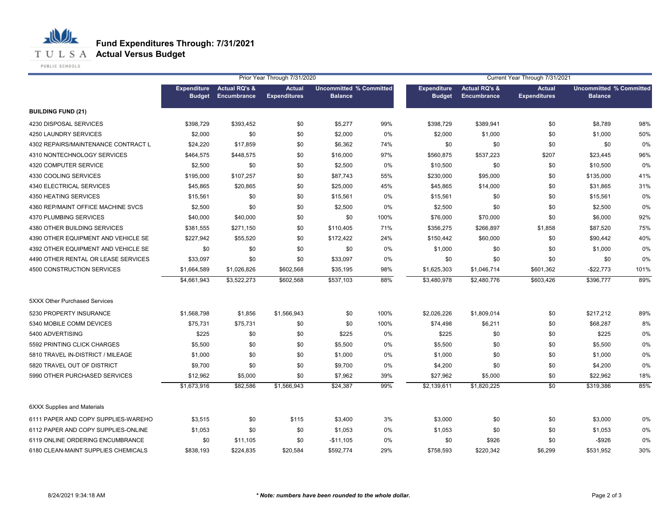

PUBLIC SCHOOLS

|                                     |                                     |                                         | Prior Year Through 7/31/2020         |                |                                | Current Year Through 7/31/2021      |                                         |                                      |                                                  |      |
|-------------------------------------|-------------------------------------|-----------------------------------------|--------------------------------------|----------------|--------------------------------|-------------------------------------|-----------------------------------------|--------------------------------------|--------------------------------------------------|------|
|                                     | <b>Expenditure</b><br><b>Budget</b> | <b>Actual RQ's &amp;</b><br>Encumbrance | <b>Actual</b><br><b>Expenditures</b> | <b>Balance</b> | <b>Uncommitted % Committed</b> | <b>Expenditure</b><br><b>Budget</b> | <b>Actual RQ's &amp;</b><br>Encumbrance | <b>Actual</b><br><b>Expenditures</b> | <b>Uncommitted % Committed</b><br><b>Balance</b> |      |
| <b>BUILDING FUND (21)</b>           |                                     |                                         |                                      |                |                                |                                     |                                         |                                      |                                                  |      |
| 4230 DISPOSAL SERVICES              | \$398,729                           | \$393,452                               | \$0                                  | \$5,277        | 99%                            | \$398,729                           | \$389,941                               | \$0                                  | \$8,789                                          | 98%  |
| 4250 LAUNDRY SERVICES               | \$2,000                             | \$0                                     | \$0                                  | \$2,000        | 0%                             | \$2,000                             | \$1,000                                 | \$0                                  | \$1,000                                          | 50%  |
| 4302 REPAIRS/MAINTENANCE CONTRACT L | \$24,220                            | \$17,859                                | \$0                                  | \$6,362        | 74%                            | \$0                                 | \$0                                     | \$0                                  | \$0                                              | 0%   |
| 4310 NONTECHNOLOGY SERVICES         | \$464,575                           | \$448,575                               | \$0                                  | \$16,000       | 97%                            | \$560,875                           | \$537,223                               | \$207                                | \$23,445                                         | 96%  |
| 4320 COMPUTER SERVICE               | \$2,500                             | \$0                                     | \$0                                  | \$2,500        | 0%                             | \$10,500                            | \$0                                     | \$0                                  | \$10,500                                         | 0%   |
| 4330 COOLING SERVICES               | \$195,000                           | \$107,257                               | \$0                                  | \$87,743       | 55%                            | \$230,000                           | \$95,000                                | \$0                                  | \$135,000                                        | 41%  |
| 4340 ELECTRICAL SERVICES            | \$45,865                            | \$20,865                                | \$0                                  | \$25,000       | 45%                            | \$45,865                            | \$14,000                                | \$0                                  | \$31,865                                         | 31%  |
| 4350 HEATING SERVICES               | \$15,561                            | \$0                                     | \$0                                  | \$15,561       | 0%                             | \$15,561                            | \$0                                     | \$0                                  | \$15,561                                         | 0%   |
| 4360 REP/MAINT OFFICE MACHINE SVCS  | \$2,500                             | \$0                                     | \$0                                  | \$2,500        | 0%                             | \$2,500                             | \$0                                     | \$0                                  | \$2,500                                          | 0%   |
| 4370 PLUMBING SERVICES              | \$40,000                            | \$40,000                                | \$0                                  | \$0            | 100%                           | \$76,000                            | \$70,000                                | \$0                                  | \$6,000                                          | 92%  |
| 4380 OTHER BUILDING SERVICES        | \$381,555                           | \$271,150                               | \$0                                  | \$110,405      | 71%                            | \$356,275                           | \$266,897                               | \$1,858                              | \$87,520                                         | 75%  |
| 4390 OTHER EQUIPMENT AND VEHICLE SE | \$227,942                           | \$55,520                                | \$0                                  | \$172,422      | 24%                            | \$150,442                           | \$60,000                                | \$0                                  | \$90,442                                         | 40%  |
| 4392 OTHER EQUIPMENT AND VEHICLE SE | \$0                                 | \$0                                     | \$0                                  | \$0            | 0%                             | \$1,000                             | \$0                                     | \$0                                  | \$1,000                                          | 0%   |
| 4490 OTHER RENTAL OR LEASE SERVICES | \$33,097                            | \$0                                     | \$0                                  | \$33,097       | 0%                             | \$0                                 | \$0                                     | \$0                                  | \$0                                              | 0%   |
| 4500 CONSTRUCTION SERVICES          | \$1,664,589                         | \$1,026,826                             | \$602,568                            | \$35,195       | 98%                            | \$1,625,303                         | \$1,046,714                             | \$601,362                            | $-$22,773$                                       | 101% |
|                                     | \$4,661,943                         | \$3,522,273                             | \$602,568                            | \$537,103      | 88%                            | \$3,480,978                         | \$2,480,776                             | \$603,426                            | \$396,777                                        | 89%  |
| 5XXX Other Purchased Services       |                                     |                                         |                                      |                |                                |                                     |                                         |                                      |                                                  |      |
| 5230 PROPERTY INSURANCE             | \$1,568,798                         | \$1,856                                 | \$1,566,943                          | \$0            | 100%                           | \$2,026,226                         | \$1,809,014                             | \$0                                  | \$217,212                                        | 89%  |
| 5340 MOBILE COMM DEVICES            | \$75,731                            | \$75,731                                | \$0                                  | \$0            | 100%                           | \$74,498                            | \$6,211                                 | \$0                                  | \$68,287                                         | 8%   |
| 5400 ADVERTISING                    | \$225                               | \$0                                     | \$0                                  | \$225          | 0%                             | \$225                               | \$0                                     | \$0                                  | \$225                                            | 0%   |
| 5592 PRINTING CLICK CHARGES         | \$5,500                             | \$0                                     | \$0                                  | \$5,500        | 0%                             | \$5,500                             | \$0                                     | \$0                                  | \$5,500                                          | 0%   |
| 5810 TRAVEL IN-DISTRICT / MILEAGE   | \$1,000                             | \$0                                     | \$0                                  | \$1,000        | 0%                             | \$1,000                             | \$0                                     | \$0                                  | \$1,000                                          | 0%   |
| 5820 TRAVEL OUT OF DISTRICT         | \$9,700                             | \$0                                     | \$0                                  | \$9,700        | 0%                             | \$4,200                             | \$0                                     | \$0                                  | \$4,200                                          | 0%   |
| 5990 OTHER PURCHASED SERVICES       | \$12,962                            | \$5,000                                 | \$0                                  | \$7,962        | 39%                            | \$27,962                            | \$5,000                                 | \$0                                  | \$22,962                                         | 18%  |
|                                     | \$1,673,916                         | \$82,586                                | \$1,566,943                          | \$24,387       | 99%                            | \$2,139,611                         | \$1,820,225                             | $\overline{50}$                      | \$319,386                                        | 85%  |
| <b>6XXX Supplies and Materials</b>  |                                     |                                         |                                      |                |                                |                                     |                                         |                                      |                                                  |      |
| 6111 PAPER AND COPY SUPPLIES-WAREHO | \$3,515                             | \$0                                     | \$115                                | \$3,400        | 3%                             | \$3,000                             | \$0                                     | \$0                                  | \$3,000                                          | 0%   |
| 6112 PAPER AND COPY SUPPLIES-ONLINE | \$1,053                             | \$0                                     | \$0                                  | \$1,053        | 0%                             | \$1,053                             | \$0                                     | \$0                                  | \$1,053                                          | 0%   |
| 6119 ONLINE ORDERING ENCUMBRANCE    | \$0                                 | \$11,105                                | \$0                                  | -\$11,105      | 0%                             | \$0                                 | \$926                                   | \$0                                  | -\$926                                           | 0%   |
| 6180 CLEAN-MAINT SUPPLIES CHEMICALS | \$838,193                           | \$224,835                               | \$20,584                             | \$592,774      | 29%                            | \$758,593                           | \$220,342                               | \$6,299                              | \$531,952                                        | 30%  |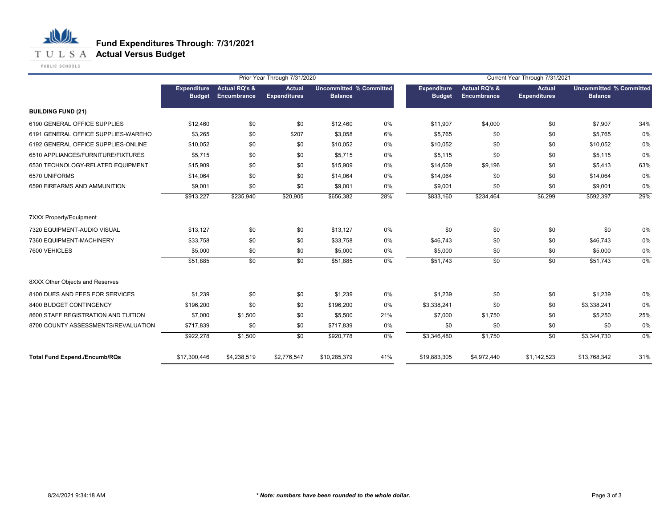

PUBLIC SCHOOLS

|                                      |                                     |                                         | Prior Year Through 7/31/2020         |                                                  |       | Current Year Through 7/31/2021      |                                         |                               |                                                  |     |
|--------------------------------------|-------------------------------------|-----------------------------------------|--------------------------------------|--------------------------------------------------|-------|-------------------------------------|-----------------------------------------|-------------------------------|--------------------------------------------------|-----|
|                                      | <b>Expenditure</b><br><b>Budget</b> | <b>Actual RQ's &amp;</b><br>Encumbrance | <b>Actual</b><br><b>Expenditures</b> | <b>Uncommitted % Committed</b><br><b>Balance</b> |       | <b>Expenditure</b><br><b>Budget</b> | <b>Actual RQ's &amp;</b><br>Encumbrance | Actual<br><b>Expenditures</b> | <b>Uncommitted % Committed</b><br><b>Balance</b> |     |
| <b>BUILDING FUND (21)</b>            |                                     |                                         |                                      |                                                  |       |                                     |                                         |                               |                                                  |     |
| 6190 GENERAL OFFICE SUPPLIES         | \$12,460                            | \$0                                     | \$0                                  | \$12,460                                         | 0%    | \$11,907                            | \$4,000                                 | \$0                           | \$7,907                                          | 34% |
| 6191 GENERAL OFFICE SUPPLIES-WAREHO  | \$3,265                             | \$0                                     | \$207                                | \$3,058                                          | 6%    | \$5,765                             | \$0                                     | \$0                           | \$5,765                                          | 0%  |
| 6192 GENERAL OFFICE SUPPLIES-ONLINE  | \$10,052                            | \$0                                     | \$0                                  | \$10,052                                         | 0%    | \$10,052                            | \$0                                     | \$0                           | \$10,052                                         | 0%  |
| 6510 APPLIANCES/FURNITURE/FIXTURES   | \$5,715                             | \$0                                     | \$0                                  | \$5,715                                          | 0%    | \$5,115                             | \$0                                     | \$0                           | \$5,115                                          | 0%  |
| 6530 TECHNOLOGY-RELATED EQUIPMENT    | \$15,909                            | \$0                                     | \$0                                  | \$15,909                                         | 0%    | \$14,609                            | \$9,196                                 | \$0                           | \$5,413                                          | 63% |
| 6570 UNIFORMS                        | \$14,064                            | \$0                                     | \$0                                  | \$14,064                                         | 0%    | \$14,064                            | \$0                                     | \$0                           | \$14,064                                         | 0%  |
| 6590 FIREARMS AND AMMUNITION         | \$9,001                             | \$0                                     | \$0                                  | \$9,001                                          | 0%    | \$9,001                             | \$0                                     | \$0                           | \$9,001                                          | 0%  |
|                                      | \$913,227                           | \$235,940                               | \$20,905                             | \$656,382                                        | 28%   | \$833,160                           | \$234,464                               | \$6,299                       | \$592,397                                        | 29% |
| <b>7XXX Property/Equipment</b>       |                                     |                                         |                                      |                                                  |       |                                     |                                         |                               |                                                  |     |
| 7320 EQUIPMENT-AUDIO VISUAL          | \$13,127                            | \$0                                     | \$0                                  | \$13,127                                         | 0%    | \$0                                 | \$0                                     | \$0                           | \$0                                              | 0%  |
| 7360 EQUIPMENT-MACHINERY             | \$33,758                            | \$0                                     | \$0                                  | \$33,758                                         | 0%    | \$46,743                            | \$0                                     | \$0                           | \$46,743                                         | 0%  |
| 7600 VEHICLES                        | \$5,000                             | \$0                                     | \$0                                  | \$5,000                                          | 0%    | \$5,000                             | \$0                                     | \$0                           | \$5,000                                          | 0%  |
|                                      | \$51,885                            | \$0                                     | $\overline{30}$                      | \$51,885                                         | $0\%$ | \$51,743                            | \$0                                     | $\overline{30}$               | \$51,743                                         | 0%  |
| 8XXX Other Objects and Reserves      |                                     |                                         |                                      |                                                  |       |                                     |                                         |                               |                                                  |     |
| 8100 DUES AND FEES FOR SERVICES      | \$1,239                             | \$0                                     | \$0                                  | \$1,239                                          | $0\%$ | \$1,239                             | \$0                                     | \$0                           | \$1,239                                          | 0%  |
| 8400 BUDGET CONTINGENCY              | \$196,200                           | \$0                                     | \$0                                  | \$196,200                                        | 0%    | \$3,338,241                         | \$0                                     | \$0                           | \$3,338,241                                      | 0%  |
| 8600 STAFF REGISTRATION AND TUITION  | \$7,000                             | \$1,500                                 | \$0                                  | \$5,500                                          | 21%   | \$7,000                             | \$1,750                                 | \$0                           | \$5,250                                          | 25% |
| 8700 COUNTY ASSESSMENTS/REVALUATION  | \$717,839                           | \$0                                     | \$0                                  | \$717,839                                        | 0%    | \$0                                 | \$0                                     | \$0                           | \$0                                              | 0%  |
|                                      | \$922,278                           | \$1,500                                 | $\overline{30}$                      | \$920,778                                        | $0\%$ | \$3,346,480                         | \$1,750                                 | \$0                           | \$3,344,730                                      | 0%  |
| <b>Total Fund Expend./Encumb/RQs</b> | \$17,300,446                        | \$4,238,519                             | \$2,776,547                          | \$10,285,379                                     | 41%   | \$19,883,305                        | \$4,972,440                             | \$1,142,523                   | \$13,768,342                                     | 31% |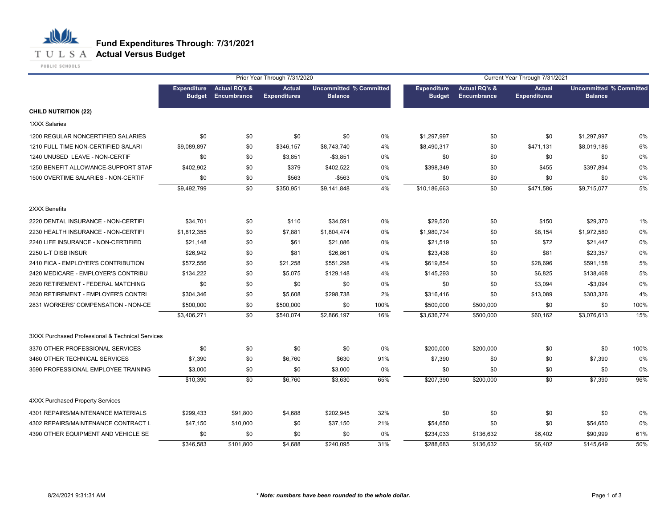**T U L S A Actual Versus Budget** 

PUBLIC SCHOOLS

|                                                  |                                     |                                         | Prior Year Through 7/31/2020         |                                                  |      | Current Year Through 7/31/2021      |                                         |                                      |                                                  |      |
|--------------------------------------------------|-------------------------------------|-----------------------------------------|--------------------------------------|--------------------------------------------------|------|-------------------------------------|-----------------------------------------|--------------------------------------|--------------------------------------------------|------|
|                                                  | <b>Expenditure</b><br><b>Budget</b> | <b>Actual RQ's &amp;</b><br>Encumbrance | <b>Actual</b><br><b>Expenditures</b> | <b>Uncommitted % Committed</b><br><b>Balance</b> |      | <b>Expenditure</b><br><b>Budget</b> | <b>Actual RQ's &amp;</b><br>Encumbrance | <b>Actual</b><br><b>Expenditures</b> | <b>Uncommitted % Committed</b><br><b>Balance</b> |      |
| <b>CHILD NUTRITION (22)</b>                      |                                     |                                         |                                      |                                                  |      |                                     |                                         |                                      |                                                  |      |
| 1XXX Salaries                                    |                                     |                                         |                                      |                                                  |      |                                     |                                         |                                      |                                                  |      |
| 1200 REGULAR NONCERTIFIED SALARIES               | \$0                                 | \$0                                     | \$0                                  | \$0                                              | 0%   | \$1,297,997                         | \$0                                     | \$0                                  | \$1,297,997                                      | 0%   |
| 1210 FULL TIME NON-CERTIFIED SALARI              | \$9,089,897                         | \$0                                     | \$346,157                            | \$8,743,740                                      | 4%   | \$8,490,317                         | \$0                                     | \$471,131                            | \$8,019,186                                      | 6%   |
| 1240 UNUSED LEAVE - NON-CERTIF                   | \$0                                 | \$0                                     | \$3,851                              | $-$ \$3,851                                      | 0%   | \$0                                 | \$0                                     | \$0                                  | \$0                                              | 0%   |
| 1250 BENEFIT ALLOWANCE-SUPPORT STAF              | \$402,902                           | \$0                                     | \$379                                | \$402,522                                        | 0%   | \$398,349                           | \$0                                     | \$455                                | \$397,894                                        | 0%   |
| 1500 OVERTIME SALARIES - NON-CERTIF              | \$0                                 | \$0                                     | \$563                                | $-$563$                                          | 0%   | \$0                                 | \$0                                     | \$0                                  | \$0                                              | 0%   |
|                                                  | \$9,492,799                         | \$0                                     | \$350,951                            | \$9,141,848                                      | 4%   | \$10,186,663                        | \$0                                     | \$471,586                            | \$9,715,077                                      | 5%   |
| 2XXX Benefits                                    |                                     |                                         |                                      |                                                  |      |                                     |                                         |                                      |                                                  |      |
| 2220 DENTAL INSURANCE - NON-CERTIFI              | \$34,701                            | \$0                                     | \$110                                | \$34,591                                         | 0%   | \$29,520                            | \$0                                     | \$150                                | \$29,370                                         | 1%   |
| 2230 HEALTH INSURANCE - NON-CERTIFI              | \$1,812,355                         | \$0                                     | \$7,881                              | \$1,804,474                                      | 0%   | \$1,980,734                         | \$0                                     | \$8,154                              | \$1,972,580                                      | 0%   |
| 2240 LIFE INSURANCE - NON-CERTIFIED              | \$21,148                            | \$0                                     | \$61                                 | \$21,086                                         | 0%   | \$21,519                            | \$0                                     | \$72                                 | \$21,447                                         | 0%   |
| 2250 L-T DISB INSUR                              | \$26,942                            | \$0                                     | \$81                                 | \$26,861                                         | 0%   | \$23,438                            | \$0                                     | \$81                                 | \$23,357                                         | 0%   |
| 2410 FICA - EMPLOYER'S CONTRIBUTION              | \$572,556                           | \$0                                     | \$21,258                             | \$551,298                                        | 4%   | \$619,854                           | \$0                                     | \$28,696                             | \$591,158                                        | 5%   |
| 2420 MEDICARE - EMPLOYER'S CONTRIBU              | \$134,222                           | \$0                                     | \$5,075                              | \$129,148                                        | 4%   | \$145,293                           | \$0                                     | \$6,825                              | \$138,468                                        | 5%   |
| 2620 RETIREMENT - FEDERAL MATCHING               | \$0                                 | \$0                                     | \$0                                  | \$0                                              | 0%   | \$0                                 | \$0                                     | \$3,094                              | $-$3,094$                                        | 0%   |
| 2630 RETIREMENT - EMPLOYER'S CONTRI              | \$304,346                           | \$0                                     | \$5,608                              | \$298,738                                        | 2%   | \$316,416                           | \$0                                     | \$13,089                             | \$303,326                                        | 4%   |
| 2831 WORKERS' COMPENSATION - NON-CE              | \$500,000                           | \$0                                     | \$500,000                            | \$0                                              | 100% | \$500,000                           | \$500,000                               | \$0                                  | \$0                                              | 100% |
|                                                  | \$3,406,271                         | $\overline{50}$                         | \$540,074                            | \$2,866,197                                      | 16%  | \$3,636,774                         | \$500,000                               | \$60,162                             | \$3,076,613                                      | 15%  |
| 3XXX Purchased Professional & Technical Services |                                     |                                         |                                      |                                                  |      |                                     |                                         |                                      |                                                  |      |
| 3370 OTHER PROFESSIONAL SERVICES                 | \$0                                 | \$0                                     | \$0                                  | \$0                                              | 0%   | \$200,000                           | \$200,000                               | \$0                                  | \$0                                              | 100% |
| 3460 OTHER TECHNICAL SERVICES                    | \$7,390                             | \$0                                     | \$6,760                              | \$630                                            | 91%  | \$7,390                             | \$0                                     | \$0                                  | \$7,390                                          | 0%   |
| 3590 PROFESSIONAL EMPLOYEE TRAINING              | \$3,000                             | \$0                                     | \$0                                  | \$3,000                                          | 0%   | \$0                                 | \$0                                     | \$0                                  | \$0                                              | 0%   |
|                                                  | \$10,390                            | \$0                                     | \$6,760                              | \$3,630                                          | 65%  | \$207,390                           | \$200,000                               | $\overline{50}$                      | \$7,390                                          | 96%  |
| 4XXX Purchased Property Services                 |                                     |                                         |                                      |                                                  |      |                                     |                                         |                                      |                                                  |      |
| 4301 REPAIRS/MAINTENANCE MATERIALS               | \$299,433                           | \$91,800                                | \$4,688                              | \$202,945                                        | 32%  | \$0                                 | \$0                                     | \$0                                  | \$0                                              | 0%   |
| 4302 REPAIRS/MAINTENANCE CONTRACT L              | \$47,150                            | \$10,000                                | \$0                                  | \$37,150                                         | 21%  | \$54,650                            | \$0                                     | \$0                                  | \$54,650                                         | 0%   |
| 4390 OTHER EQUIPMENT AND VEHICLE SE              | \$0                                 | \$0                                     | \$0                                  | \$0                                              | 0%   | \$234,033                           | \$136,632                               | \$6,402                              | \$90,999                                         | 61%  |
|                                                  | \$346,583                           | \$101,800                               | \$4,688                              | \$240,095                                        | 31%  | \$288,683                           | \$136,632                               | \$6,402                              | \$145,649                                        | 50%  |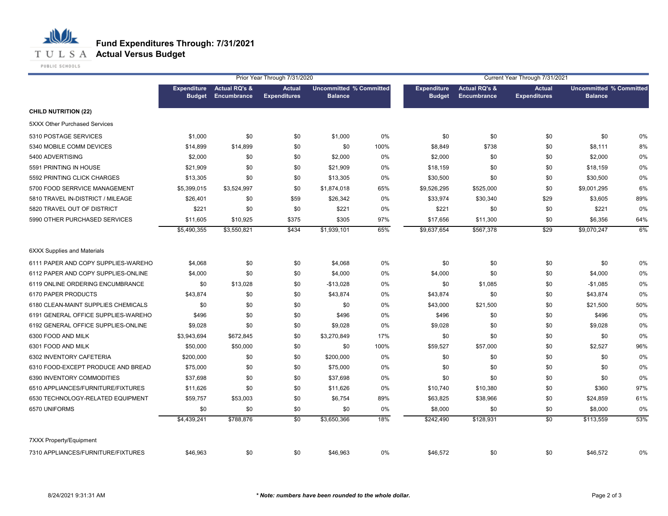

PUBLIC SCHOOLS

|                                      |               |                                                 | Prior Year Through 7/31/2020         |                                                  |      | Current Year Through 7/31/2021      |                                         |                                      |                                                  |     |
|--------------------------------------|---------------|-------------------------------------------------|--------------------------------------|--------------------------------------------------|------|-------------------------------------|-----------------------------------------|--------------------------------------|--------------------------------------------------|-----|
|                                      | <b>Budget</b> | <b>Expenditure</b> Actual RQ's &<br>Encumbrance | <b>Actual</b><br><b>Expenditures</b> | <b>Uncommitted % Committed</b><br><b>Balance</b> |      | <b>Expenditure</b><br><b>Budget</b> | <b>Actual RQ's &amp;</b><br>Encumbrance | <b>Actual</b><br><b>Expenditures</b> | <b>Uncommitted % Committed</b><br><b>Balance</b> |     |
| <b>CHILD NUTRITION (22)</b>          |               |                                                 |                                      |                                                  |      |                                     |                                         |                                      |                                                  |     |
| <b>5XXX Other Purchased Services</b> |               |                                                 |                                      |                                                  |      |                                     |                                         |                                      |                                                  |     |
| 5310 POSTAGE SERVICES                | \$1,000       | \$0                                             | \$0                                  | \$1,000                                          | 0%   | \$0                                 | \$0                                     | \$0                                  | \$0                                              | 0%  |
| 5340 MOBILE COMM DEVICES             | \$14,899      | \$14,899                                        | \$0                                  | \$0                                              | 100% | \$8,849                             | \$738                                   | \$0                                  | \$8,111                                          | 8%  |
| 5400 ADVERTISING                     | \$2,000       | \$0                                             | \$0                                  | \$2,000                                          | 0%   | \$2,000                             | \$0                                     | \$0                                  | \$2,000                                          | 0%  |
| 5591 PRINTING IN HOUSE               | \$21,909      | \$0                                             | \$0                                  | \$21,909                                         | 0%   | \$18,159                            | \$0                                     | \$0                                  | \$18,159                                         | 0%  |
| 5592 PRINTING CLICK CHARGES          | \$13,305      | \$0                                             | \$0                                  | \$13,305                                         | 0%   | \$30,500                            | \$0                                     | \$0                                  | \$30,500                                         | 0%  |
| 5700 FOOD SERRVICE MANAGEMENT        | \$5,399,015   | \$3,524,997                                     | \$0                                  | \$1,874,018                                      | 65%  | \$9,526,295                         | \$525,000                               | \$0                                  | \$9,001,295                                      | 6%  |
| 5810 TRAVEL IN-DISTRICT / MILEAGE    | \$26,401      | \$0                                             | \$59                                 | \$26,342                                         | 0%   | \$33,974                            | \$30,340                                | \$29                                 | \$3,605                                          | 89% |
| 5820 TRAVEL OUT OF DISTRICT          | \$221         | \$0                                             | \$0                                  | \$221                                            | 0%   | \$221                               | \$0                                     | \$0                                  | \$221                                            | 0%  |
| 5990 OTHER PURCHASED SERVICES        | \$11,605      | \$10,925                                        | \$375                                | \$305                                            | 97%  | \$17,656                            | \$11,300                                | \$0                                  | \$6,356                                          | 64% |
|                                      | \$5,490,355   | \$3,550,821                                     | \$434                                | \$1,939,101                                      | 65%  | \$9,637,654                         | \$567,378                               | \$29                                 | \$9,070,247                                      | 6%  |
| <b>6XXX Supplies and Materials</b>   |               |                                                 |                                      |                                                  |      |                                     |                                         |                                      |                                                  |     |
| 6111 PAPER AND COPY SUPPLIES-WAREHO  | \$4,068       | \$0                                             | \$0                                  | \$4,068                                          | 0%   | \$0                                 | \$0                                     | \$0                                  | \$0                                              | 0%  |
| 6112 PAPER AND COPY SUPPLIES-ONLINE  | \$4,000       | \$0                                             | \$0                                  | \$4,000                                          | 0%   | \$4,000                             | \$0                                     | \$0                                  | \$4,000                                          | 0%  |
| 6119 ONLINE ORDERING ENCUMBRANCE     | \$0           | \$13,028                                        | \$0                                  | $-$13,028$                                       | 0%   | \$0                                 | \$1,085                                 | \$0                                  | $-$1,085$                                        | 0%  |
| 6170 PAPER PRODUCTS                  | \$43,874      | \$0                                             | \$0                                  | \$43,874                                         | 0%   | \$43,874                            | \$0                                     | \$0                                  | \$43,874                                         | 0%  |
| 6180 CLEAN-MAINT SUPPLIES CHEMICALS  | \$0           | \$0                                             | \$0                                  | \$0                                              | 0%   | \$43,000                            | \$21,500                                | \$0                                  | \$21,500                                         | 50% |
| 6191 GENERAL OFFICE SUPPLIES-WAREHO  | \$496         | \$0                                             | \$0                                  | \$496                                            | 0%   | \$496                               | \$0                                     | \$0                                  | \$496                                            | 0%  |
| 6192 GENERAL OFFICE SUPPLIES-ONLINE  | \$9,028       | \$0                                             | \$0                                  | \$9,028                                          | 0%   | \$9,028                             | \$0                                     | \$0                                  | \$9,028                                          | 0%  |
| 6300 FOOD AND MILK                   | \$3,943,694   | \$672,845                                       | \$0                                  | \$3,270,849                                      | 17%  | \$0                                 | \$0                                     | \$0                                  | \$0                                              | 0%  |
| 6301 FOOD AND MILK                   | \$50,000      | \$50,000                                        | \$0                                  | \$0                                              | 100% | \$59,527                            | \$57,000                                | \$0                                  | \$2,527                                          | 96% |
| 6302 INVENTORY CAFETERIA             | \$200,000     | \$0                                             | \$0                                  | \$200,000                                        | 0%   | \$0                                 | \$0                                     | \$0                                  | \$0                                              | 0%  |
| 6310 FOOD-EXCEPT PRODUCE AND BREAD   | \$75,000      | \$0                                             | \$0                                  | \$75,000                                         | 0%   | \$0                                 | \$0                                     | \$0                                  | \$0                                              | 0%  |
| 6390 INVENTORY COMMODITIES           | \$37,698      | \$0                                             | \$0                                  | \$37,698                                         | 0%   | \$0                                 | \$0                                     | \$0                                  | \$0                                              | 0%  |
| 6510 APPLIANCES/FURNITURE/FIXTURES   | \$11,626      | \$0                                             | \$0                                  | \$11,626                                         | 0%   | \$10,740                            | \$10,380                                | \$0                                  | \$360                                            | 97% |
| 6530 TECHNOLOGY-RELATED EQUIPMENT    | \$59,757      | \$53,003                                        | \$0                                  | \$6,754                                          | 89%  | \$63,825                            | \$38,966                                | \$0                                  | \$24,859                                         | 61% |
| 6570 UNIFORMS                        | \$0           | \$0                                             | \$0                                  | \$0                                              | 0%   | \$8,000                             | \$0                                     | \$0                                  | \$8,000                                          | 0%  |
|                                      | \$4,439,241   | \$788,876                                       | \$0                                  | \$3,650,366                                      | 18%  | \$242,490                           | \$128,931                               | \$0                                  | \$113,559                                        | 53% |
| 7XXX Property/Equipment              |               |                                                 |                                      |                                                  |      |                                     |                                         |                                      |                                                  |     |
| 7310 APPLIANCES/FURNITURE/FIXTURES   | \$46,963      | \$0                                             | \$0                                  | \$46,963                                         | 0%   | \$46,572                            | \$0                                     | \$0                                  | \$46,572                                         | 0%  |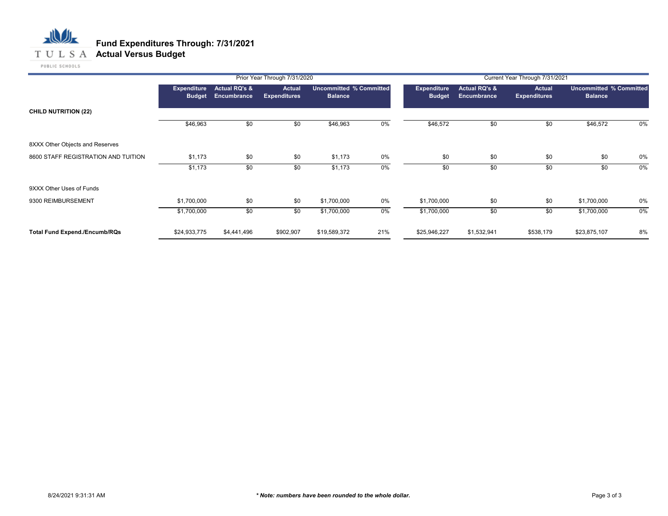## **T U L S A Actual Versus Budget**

|                                      |                                     |                              | Prior Year Through 7/31/2020         |                                                  |     | Current Year Through 7/31/2021 |                                         |                               |                |                                |  |
|--------------------------------------|-------------------------------------|------------------------------|--------------------------------------|--------------------------------------------------|-----|--------------------------------|-----------------------------------------|-------------------------------|----------------|--------------------------------|--|
|                                      | <b>Expenditure</b><br><b>Budget</b> | Actual RQ's &<br>Encumbrance | <b>Actual</b><br><b>Expenditures</b> | <b>Uncommitted % Committed</b><br><b>Balance</b> |     | Expenditure<br><b>Budget</b>   | <b>Actual RQ's &amp;</b><br>Encumbrance | Actual<br><b>Expenditures</b> | <b>Balance</b> | <b>Uncommitted % Committed</b> |  |
| <b>CHILD NUTRITION (22)</b>          |                                     |                              |                                      |                                                  |     |                                |                                         |                               |                |                                |  |
|                                      | \$46,963                            | \$0                          | \$0                                  | \$46,963                                         | 0%  | \$46,572                       | \$0                                     | \$0                           | \$46,572       | 0%                             |  |
| 8XXX Other Objects and Reserves      |                                     |                              |                                      |                                                  |     |                                |                                         |                               |                |                                |  |
| 8600 STAFF REGISTRATION AND TUITION  | \$1,173                             | \$0                          | \$0                                  | \$1,173                                          | 0%  | \$0                            | \$0                                     | \$0                           | \$0            | 0%                             |  |
|                                      | \$1,173                             | \$0                          | \$0                                  | \$1,173                                          | 0%  | \$0                            | \$0                                     | \$0                           | \$0            | 0%                             |  |
| 9XXX Other Uses of Funds             |                                     |                              |                                      |                                                  |     |                                |                                         |                               |                |                                |  |
| 9300 REIMBURSEMENT                   | \$1,700,000                         | \$0                          | \$0                                  | \$1,700,000                                      | 0%  | \$1,700,000                    | \$0                                     | \$0                           | \$1,700,000    | 0%                             |  |
|                                      | \$1,700,000                         | \$0                          | \$0                                  | \$1,700,000                                      | 0%  | \$1,700,000                    | \$0                                     | \$0                           | \$1,700,000    | 0%                             |  |
| <b>Total Fund Expend./Encumb/RQs</b> | \$24,933,775                        | \$4,441,496                  | \$902,907                            | \$19,589,372                                     | 21% | \$25,946,227                   | \$1,532,941                             | \$538,179                     | \$23,875,107   | 8%                             |  |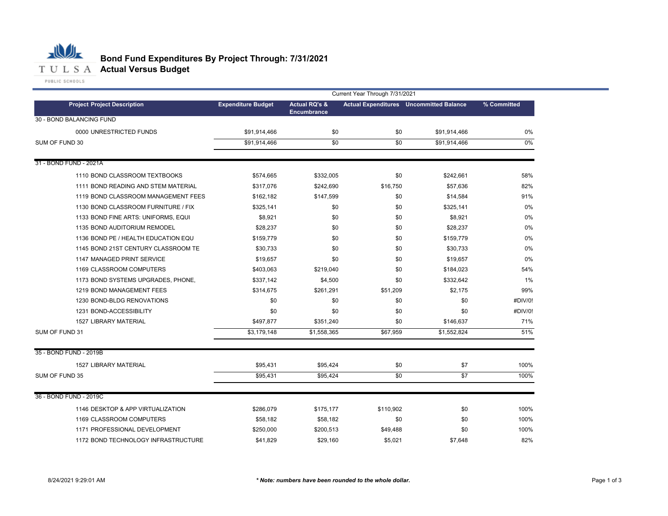

# **Bond Fund Expenditures By Project Through: 7/31/2021**

| <b>Project Project Description</b>  | Current Year Through 7/31/2021 |                          |           |                                                |             |  |
|-------------------------------------|--------------------------------|--------------------------|-----------|------------------------------------------------|-------------|--|
|                                     | <b>Expenditure Budget</b>      | <b>Actual RQ's &amp;</b> |           | <b>Actual Expenditures</b> Uncommitted Balance | % Committed |  |
| 30 - BOND BALANCING FUND            |                                | <b>Encumbrance</b>       |           |                                                |             |  |
| 0000 UNRESTRICTED FUNDS             | \$91,914,466                   | \$0                      | \$0       | \$91,914,466                                   | 0%          |  |
| SUM OF FUND 30                      | \$91,914,466                   | $\overline{50}$          | \$0       | \$91,914,466                                   | 0%          |  |
|                                     |                                |                          |           |                                                |             |  |
| 31 - BOND FUND - 2021A              |                                |                          |           |                                                |             |  |
| 1110 BOND CLASSROOM TEXTBOOKS       | \$574,665                      | \$332,005                | \$0       | \$242,661                                      | 58%         |  |
| 1111 BOND READING AND STEM MATERIAL | \$317,076                      | \$242,690                | \$16,750  | \$57,636                                       | 82%         |  |
| 1119 BOND CLASSROOM MANAGEMENT FEES | \$162,182                      | \$147,599                | \$0       | \$14,584                                       | 91%         |  |
| 1130 BOND CLASSROOM FURNITURE / FIX | \$325,141                      | \$0                      | \$0       | \$325,141                                      | 0%          |  |
| 1133 BOND FINE ARTS: UNIFORMS, EQUI | \$8,921                        | \$0                      | \$0       | \$8,921                                        | 0%          |  |
| 1135 BOND AUDITORIUM REMODEL        | \$28,237                       | \$0                      | \$0       | \$28,237                                       | 0%          |  |
| 1136 BOND PE / HEALTH EDUCATION EQU | \$159,779                      | \$0                      | \$0       | \$159,779                                      | 0%          |  |
| 1145 BOND 21ST CENTURY CLASSROOM TE | \$30,733                       | \$0                      | \$0       | \$30,733                                       | 0%          |  |
| 1147 MANAGED PRINT SERVICE          | \$19,657                       | \$0                      | \$0       | \$19,657                                       | 0%          |  |
| 1169 CLASSROOM COMPUTERS            | \$403,063                      | \$219,040                | \$0       | \$184,023                                      | 54%         |  |
| 1173 BOND SYSTEMS UPGRADES, PHONE,  | \$337,142                      | \$4,500                  | \$0       | \$332,642                                      | 1%          |  |
| 1219 BOND MANAGEMENT FEES           | \$314,675                      | \$261,291                | \$51,209  | \$2,175                                        | 99%         |  |
| 1230 BOND-BLDG RENOVATIONS          | \$0                            | \$0                      | \$0       | \$0                                            | #DIV/0!     |  |
| 1231 BOND-ACCESSIBILITY             | \$0                            | \$0                      | \$0       | \$0                                            | #DIV/0!     |  |
| <b>1527 LIBRARY MATERIAL</b>        | \$497,877                      | \$351,240                | \$0       | \$146,637                                      | 71%         |  |
| SUM OF FUND 31                      | \$3,179,148                    | \$1,558,365              | \$67,959  | \$1,552,824                                    | 51%         |  |
| 35 - BOND FUND - 2019B              |                                |                          |           |                                                |             |  |
| <b>1527 LIBRARY MATERIAL</b>        | \$95,431                       | \$95,424                 | \$0       | \$7                                            | 100%        |  |
| SUM OF FUND 35                      | \$95,431                       | \$95.424                 | \$0       | \$7                                            | 100%        |  |
| 36 - BOND FUND - 2019C              |                                |                          |           |                                                |             |  |
| 1146 DESKTOP & APP VIRTUALIZATION   | \$286,079                      | \$175,177                | \$110,902 | \$0                                            | 100%        |  |
| 1169 CLASSROOM COMPUTERS            | \$58,182                       | \$58,182                 | \$0       | \$0                                            | 100%        |  |
| 1171 PROFESSIONAL DEVELOPMENT       | \$250,000                      | \$200,513                | \$49,488  | \$0                                            | 100%        |  |
| 1172 BOND TECHNOLOGY INFRASTRUCTURE | \$41,829                       | \$29.160                 | \$5,021   | \$7,648                                        | 82%         |  |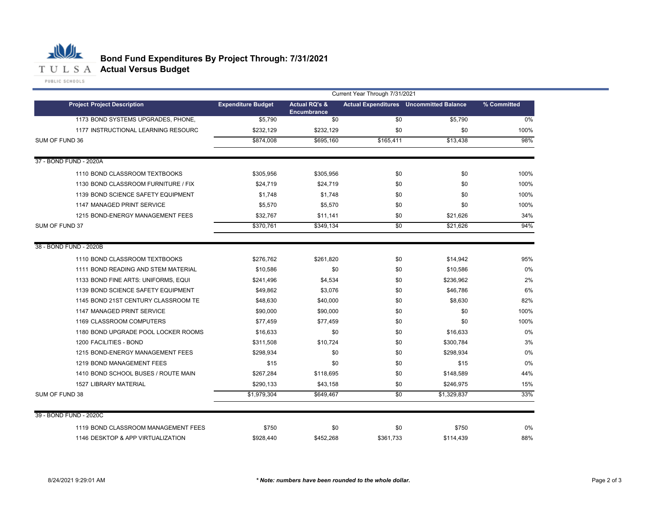

# **Bond Fund Expenditures By Project Through: 7/31/2021**

|                                     | Current Year Through 7/31/2021 |                                                |                 |                                                |             |  |
|-------------------------------------|--------------------------------|------------------------------------------------|-----------------|------------------------------------------------|-------------|--|
| <b>Project Project Description</b>  | <b>Expenditure Budget</b>      | <b>Actual RQ's &amp;</b><br><b>Encumbrance</b> |                 | <b>Actual Expenditures</b> Uncommitted Balance | % Committed |  |
| 1173 BOND SYSTEMS UPGRADES, PHONE,  | \$5.790                        | $\overline{50}$                                | $\overline{50}$ | \$5.790                                        | 0%          |  |
| 1177 INSTRUCTIONAL LEARNING RESOURC | \$232,129                      | \$232,129                                      | \$0             | \$0                                            | 100%        |  |
| SUM OF FUND 36                      | \$874,008                      | \$695,160                                      | \$165,411       | \$13,438                                       | 98%         |  |
| 37 - BOND FUND - 2020A              |                                |                                                |                 |                                                |             |  |
| 1110 BOND CLASSROOM TEXTBOOKS       | \$305,956                      | \$305,956                                      | \$0             | \$0                                            | 100%        |  |
| 1130 BOND CLASSROOM FURNITURE / FIX | \$24,719                       | \$24,719                                       | \$0             | \$0                                            | 100%        |  |
| 1139 BOND SCIENCE SAFETY EQUIPMENT  | \$1,748                        | \$1,748                                        | \$0             | \$0                                            | 100%        |  |
| 1147 MANAGED PRINT SERVICE          | \$5,570                        | \$5,570                                        | \$0             | \$0                                            | 100%        |  |
| 1215 BOND-ENERGY MANAGEMENT FEES    | \$32,767                       | \$11,141                                       | \$0             | \$21.626                                       | 34%         |  |
| SUM OF FUND 37                      | \$370,761                      | \$349,134                                      | \$0             | \$21,626                                       | 94%         |  |
| 38 - BOND FUND - 2020B              |                                |                                                |                 |                                                |             |  |
| 1110 BOND CLASSROOM TEXTBOOKS       | \$276,762                      | \$261,820                                      | \$0             | \$14,942                                       | 95%         |  |
| 1111 BOND READING AND STEM MATERIAL | \$10.586                       | \$0                                            | \$0             | \$10,586                                       | 0%          |  |
| 1133 BOND FINE ARTS: UNIFORMS, EQUI | \$241,496                      | \$4,534                                        | \$0             | \$236,962                                      | 2%          |  |
| 1139 BOND SCIENCE SAFETY EQUIPMENT  | \$49,862                       | \$3,076                                        | \$0             | \$46,786                                       | 6%          |  |
| 1145 BOND 21ST CENTURY CLASSROOM TE | \$48,630                       | \$40,000                                       | \$0             | \$8,630                                        | 82%         |  |
| 1147 MANAGED PRINT SERVICE          | \$90,000                       | \$90,000                                       | \$0             | \$0                                            | 100%        |  |
| 1169 CLASSROOM COMPUTERS            | \$77,459                       | \$77,459                                       | \$0             | \$0                                            | 100%        |  |
| 1180 BOND UPGRADE POOL LOCKER ROOMS | \$16,633                       | \$0                                            | \$0             | \$16,633                                       | 0%          |  |
| 1200 FACILITIES - BOND              | \$311,508                      | \$10,724                                       | \$0             | \$300,784                                      | 3%          |  |
| 1215 BOND-ENERGY MANAGEMENT FEES    | \$298,934                      | \$0                                            | \$0             | \$298,934                                      | 0%          |  |
| 1219 BOND MANAGEMENT FEES           | \$15                           | \$0                                            | \$0             | \$15                                           | 0%          |  |
| 1410 BOND SCHOOL BUSES / ROUTE MAIN | \$267,284                      | \$118,695                                      | \$0             | \$148,589                                      | 44%         |  |
| 1527 LIBRARY MATERIAL               | \$290,133                      | \$43,158                                       | \$0             | \$246,975                                      | 15%         |  |
| SUM OF FUND 38                      | \$1,979,304                    | \$649,467                                      | \$0             | \$1,329,837                                    | 33%         |  |
| 39 - BOND FUND - 2020C              |                                |                                                |                 |                                                |             |  |
| 1119 BOND CLASSROOM MANAGEMENT FEES | \$750                          | \$0                                            | \$0             | \$750                                          | 0%          |  |
| 1146 DESKTOP & APP VIRTUALIZATION   | \$928,440                      | \$452,268                                      | \$361,733       | \$114,439                                      | 88%         |  |

۰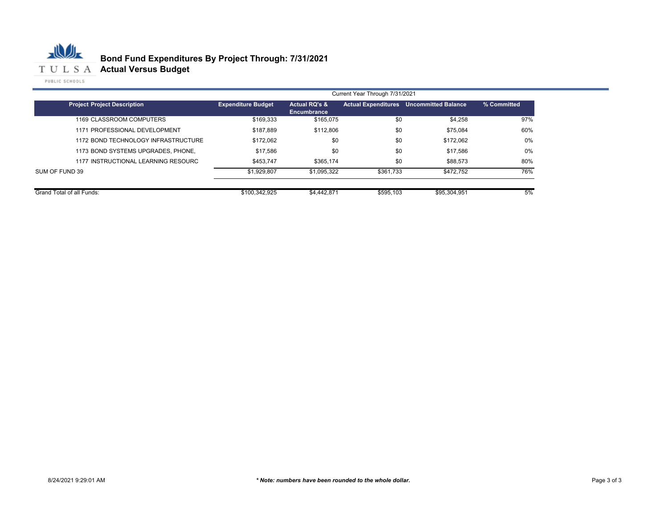

|                                     | Current Year Through 7/31/2021 |                              |                            |                            |             |
|-------------------------------------|--------------------------------|------------------------------|----------------------------|----------------------------|-------------|
| <b>Project Project Description</b>  | <b>Expenditure Budget</b>      | Actual RQ's &<br>Encumbrance | <b>Actual Expenditures</b> | <b>Uncommitted Balance</b> | % Committed |
| 1169 CLASSROOM COMPUTERS            | \$169.333                      | \$165,075                    | \$0                        | \$4,258                    | 97%         |
| 1171 PROFESSIONAL DEVELOPMENT       | \$187.889                      | \$112,806                    | \$0                        | \$75.084                   | 60%         |
| 1172 BOND TECHNOLOGY INFRASTRUCTURE | \$172.062                      | \$0                          | \$0                        | \$172.062                  | 0%          |
| 1173 BOND SYSTEMS UPGRADES, PHONE,  | \$17,586                       | \$0                          | \$0                        | \$17.586                   | 0%          |
| 1177 INSTRUCTIONAL LEARNING RESOURC | \$453.747                      | \$365.174                    | \$0                        | \$88,573                   | 80%         |
| SUM OF FUND 39                      | \$1.929.807                    | \$1,095,322                  | \$361.733                  | \$472.752                  | 76%         |
| Grand Total of all Funds:           | \$100.342.925                  | \$4,442,871                  | \$595,103                  | \$95,304,951               | 5%          |